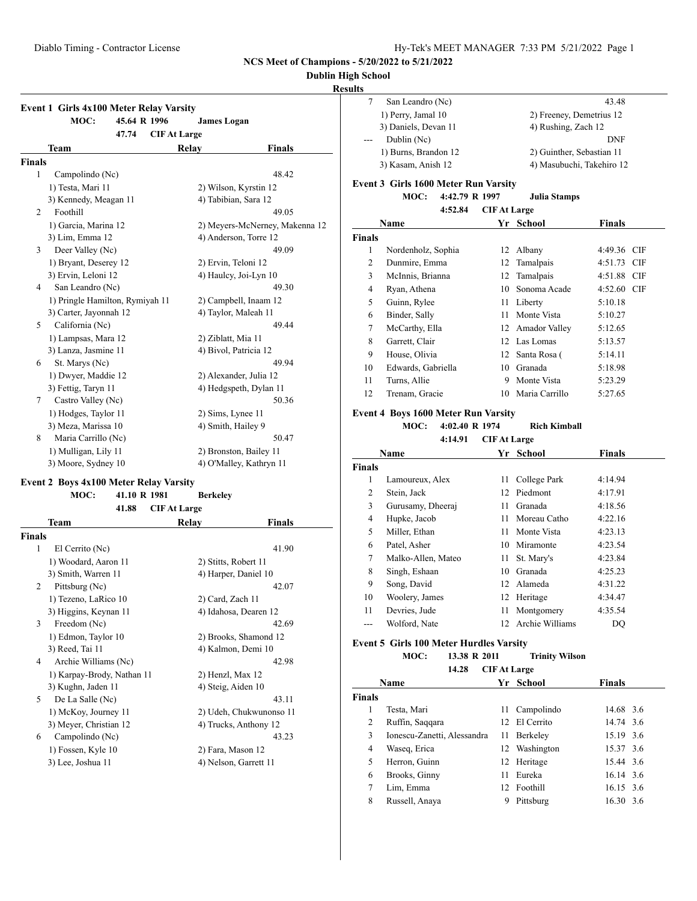### **Dublin High School**

### **Results**

|        | <b>Event 1 Girls 4x100 Meter Relay Varsity</b><br>MOC:<br>45.64 R 1996 | <b>James Logan</b>    |                                |
|--------|------------------------------------------------------------------------|-----------------------|--------------------------------|
|        | 47.74                                                                  | <b>CIF At Large</b>   |                                |
|        | Team                                                                   | Relay                 | Finals                         |
| Finals |                                                                        |                       |                                |
| 1      | Campolindo (Nc)                                                        |                       | 48.42                          |
|        | 1) Testa, Mari 11                                                      |                       | 2) Wilson, Kyrstin 12          |
|        | 3) Kennedy, Meagan 11                                                  | 4) Tabibian, Sara 12  |                                |
| 2      | Foothill                                                               |                       | 49.05                          |
|        | 1) Garcia, Marina 12                                                   |                       | 2) Meyers-McNerney, Makenna 12 |
|        | 3) Lim, Emma 12                                                        |                       | 4) Anderson, Torre 12          |
| 3      | Deer Valley (Nc)                                                       |                       | 49.09                          |
|        | 1) Bryant, Deserey 12                                                  | 2) Ervin, Teloni 12   |                                |
|        | 3) Ervin, Leloni 12                                                    |                       | 4) Haulcy, Joi-Lyn 10          |
| 4      | San Leandro (Nc)                                                       |                       | 49.30                          |
|        | 1) Pringle Hamilton, Rymiyah 11                                        |                       | 2) Campbell, Inaam 12          |
|        | 3) Carter, Jayonnah 12                                                 | 4) Taylor, Maleah 11  |                                |
| 5      | California (Nc)                                                        |                       | 49.44                          |
|        | 1) Lampsas, Mara 12                                                    | 2) Ziblatt, Mia 11    |                                |
|        | 3) Lanza, Jasmine 11                                                   | 4) Bivol, Patricia 12 |                                |
| 6      | St. Marys (Nc)                                                         |                       | 49.94                          |
|        | 1) Dwyer, Maddie 12                                                    |                       | 2) Alexander, Julia 12         |
|        | 3) Fettig, Taryn 11                                                    |                       | 4) Hedgspeth, Dylan 11         |
| 7      | Castro Valley (Nc)                                                     |                       | 50.36                          |
|        | 1) Hodges, Taylor 11                                                   | 2) Sims, Lynee 11     |                                |
|        | 3) Meza, Marissa 10                                                    | 4) Smith, Hailey 9    |                                |
| 8      | Maria Carrillo (Nc)                                                    |                       | 50.47                          |
|        | 1) Mulligan, Lily 11                                                   |                       | 2) Bronston, Bailey 11         |
|        | 3) Moore, Sydney 10                                                    |                       | 4) O'Malley, Kathryn 11        |

### **Event 2 Boys 4x100 Meter Relay Varsity**

|        | MOC:                       | 41.10 R 1981 |                     | <b>Berkeley</b>       |                         |
|--------|----------------------------|--------------|---------------------|-----------------------|-------------------------|
|        |                            | 41.88        | <b>CIF At Large</b> |                       |                         |
|        | Team                       |              | Relay               |                       | Finals                  |
| Finals |                            |              |                     |                       |                         |
| 1      | El Cerrito (Nc)            |              |                     |                       | 41.90                   |
|        | 1) Woodard, Aaron 11       |              |                     | 2) Stitts, Robert 11  |                         |
|        | 3) Smith, Warren 11        |              |                     | 4) Harper, Daniel 10  |                         |
| 2      | Pittsburg (Nc)             |              |                     |                       | 42.07                   |
|        | 1) Tezeno, LaRico 10       |              |                     | 2) Card, Zach 11      |                         |
|        | 3) Higgins, Keynan 11      |              |                     | 4) Idahosa, Dearen 12 |                         |
| 3      | Freedom (Nc)               |              |                     |                       | 42.69                   |
|        | 1) Edmon, Taylor 10        |              |                     | 2) Brooks, Shamond 12 |                         |
|        | 3) Reed, Tai 11            |              |                     | 4) Kalmon, Demi 10    |                         |
| 4      | Archie Williams (Nc)       |              |                     |                       | 42.98                   |
|        | 1) Karpay-Brody, Nathan 11 |              |                     | 2) Henzl, Max 12      |                         |
|        | 3) Kughn, Jaden 11         |              |                     | 4) Steig, Aiden 10    |                         |
| 5      | De La Salle (Nc)           |              |                     |                       | 43.11                   |
|        | 1) McKoy, Journey 11       |              |                     |                       | 2) Udeh, Chukwunonso 11 |
|        | 3) Meyer, Christian 12     |              |                     | 4) Trucks, Anthony 12 |                         |
| 6      | Campolindo (Nc)            |              |                     |                       | 43.23                   |
|        | 1) Fossen, Kyle 10         |              |                     | 2) Fara, Mason 12     |                         |
|        | 3) Lee, Joshua 11          |              |                     | 4) Nelson, Garrett 11 |                         |
|        |                            |              |                     |                       |                         |

|     | San Leandro (Nc)     | 43.48                     |
|-----|----------------------|---------------------------|
|     | 1) Perry, Jamal 10   | 2) Freeney, Demetrius 12  |
|     | 3) Daniels, Devan 11 | 4) Rushing, Zach 12       |
| $-$ | Dublin (Nc)          | DNF                       |
|     | 1) Burns, Brandon 12 | 2) Guinther, Sebastian 11 |
|     | 3) Kasam, Anish 12   | 4) Masubuchi, Takehiro 12 |
|     |                      |                           |

#### **Event 3 Girls 1600 Meter Run Varsity**

### **MOC: 4:42.79 R 1997 Julia Stamps**

| 4:52.84 | <b>CIFAt Large</b> |  |
|---------|--------------------|--|
|         |                    |  |

|               | Name               | Yr | School           | <b>Finals</b> |
|---------------|--------------------|----|------------------|---------------|
| <b>Finals</b> |                    |    |                  |               |
| 1             | Nordenholz, Sophia | 12 | Albany           | 4:49.36 CIF   |
| 2             | Dunmire, Emma      |    | 12 Tamalpais     | 4:51.73 CIF   |
| 3             | McInnis, Brianna   |    | 12 Tamalpais     | 4:51.88 CIF   |
| 4             | Ryan, Athena       | 10 | Sonoma Acade     | 4:52.60 CIF   |
| 5             | Guinn, Rylee       | 11 | Liberty          | 5:10.18       |
| 6             | Binder, Sally      | 11 | Monte Vista      | 5:10.27       |
| 7             | McCarthy, Ella     |    | 12 Amador Valley | 5:12.65       |
| 8             | Garrett, Clair     |    | 12 Las Lomas     | 5:13.57       |
| 9             | House, Olivia      |    | 12 Santa Rosa (  | 5:14.11       |
| 10            | Edwards, Gabriella | 10 | Granada          | 5:18.98       |
| 11            | Turns, Allie       | 9  | Monte Vista      | 5:23.29       |
| 12            | Trenam, Gracie     | 10 | Maria Carrillo   | 5:27.65       |

### **Event 4 Boys 1600 Meter Run Varsity**

### **MOC: 4:02.40 R 1974 Rich Kimball**

| 4:14.91<br><b>CIF At Large</b> |                    |      |                 |               |  |
|--------------------------------|--------------------|------|-----------------|---------------|--|
| Name                           |                    | Yr   | School          | <b>Finals</b> |  |
| <b>Finals</b>                  |                    |      |                 |               |  |
| 1                              | Lamoureux, Alex    | 11   | College Park    | 4:14.94       |  |
| 2                              | Stein, Jack        | 12   | Piedmont        | 4:17.91       |  |
| 3                              | Gurusamy, Dheeraj  | 11   | Granada         | 4:18.56       |  |
| 4                              | Hupke, Jacob       | 11   | Moreau Catho    | 4:22.16       |  |
| 5                              | Miller, Ethan      | 11   | Monte Vista     | 4:23.13       |  |
| 6                              | Patel, Asher       | 10   | Miramonte       | 4:23.54       |  |
| 7                              | Malko-Allen, Mateo | 11 - | St. Mary's      | 4:23.84       |  |
| 8                              | Singh, Eshaan      | 10   | Granada         | 4:25.23       |  |
| 9                              | Song, David        | 12   | Alameda         | 4:31.22       |  |
| 10                             | Woolery, James     | 12   | Heritage        | 4:34.47       |  |
| 11                             | Devries, Jude      | 11   | Montgomery      | 4:35.54       |  |
| ---                            | Wolford, Nate      | 12.  | Archie Williams | DQ            |  |
|                                |                    |      |                 |               |  |

### **Event 5 Girls 100 Meter Hurdles Varsity**

### **MOC: 13.38 R 2011 Trinity Wilson**

|               | 14.28<br><b>CIF At Large</b> |     |               |               |  |  |  |
|---------------|------------------------------|-----|---------------|---------------|--|--|--|
|               | Name                         |     | Yr School     | <b>Finals</b> |  |  |  |
| <b>Finals</b> |                              |     |               |               |  |  |  |
|               | Testa, Mari                  | 11  | Campolindo    | 14.68 3.6     |  |  |  |
| 2             | Ruffin, Saqqara              |     | 12 El Cerrito | 14.74 3.6     |  |  |  |
| 3             | Ionescu-Zanetti, Alessandra  | 11. | Berkeley      | 15.19 3.6     |  |  |  |
| 4             | Waseq, Erica                 |     | 12 Washington | 15.37 3.6     |  |  |  |
| 5             | Herron, Guinn                |     | 12 Heritage   | 15.44 3.6     |  |  |  |
| 6             | Brooks, Ginny                | 11  | Eureka        | 16.14 3.6     |  |  |  |
| 7             | Lim, Emma                    |     | 12 Foothill   | 16.15 3.6     |  |  |  |
| 8             | Russell, Anaya               | 9   | Pittsburg     | 16.30 3.6     |  |  |  |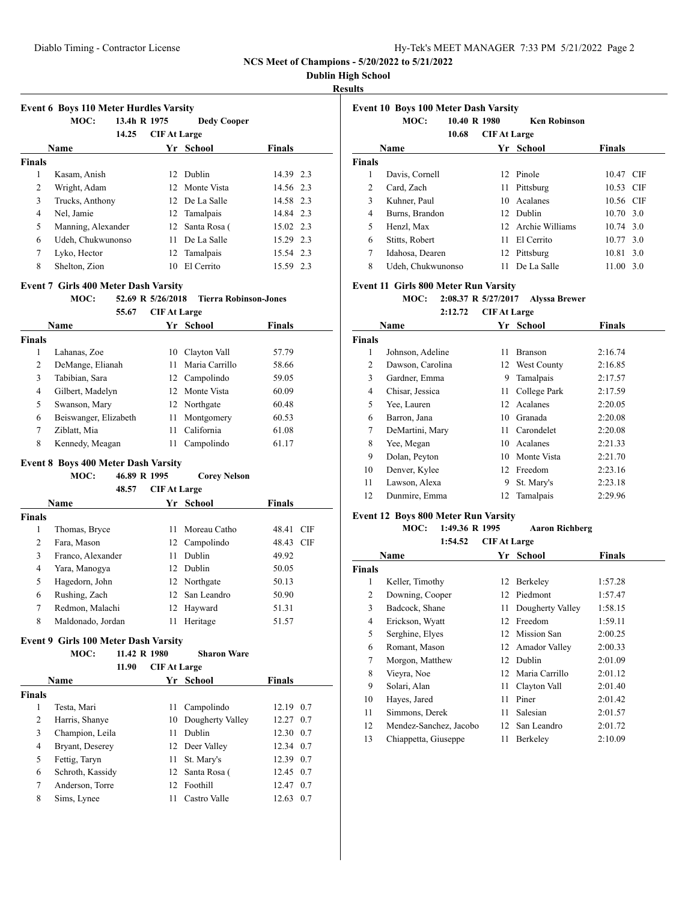| Hy-Tek's MEET MANAGER 7:33 PM 5/21/2022 Page 2 |  |  |
|------------------------------------------------|--|--|
|                                                |  |  |

### **Dublin High School**

### **Results**

| <b>Event 6 Boys 110 Meter Hurdles Varsity</b> |                    |              |                     |                    |               |  |  |  |
|-----------------------------------------------|--------------------|--------------|---------------------|--------------------|---------------|--|--|--|
|                                               | MOC:               | 13.4h R 1975 |                     | <b>Dedy Cooper</b> |               |  |  |  |
|                                               |                    | 14.25        | <b>CIF At Large</b> |                    |               |  |  |  |
|                                               | <b>Name</b>        |              | Yr                  | School             | <b>Finals</b> |  |  |  |
| <b>Finals</b>                                 |                    |              |                     |                    |               |  |  |  |
| 1                                             | Kasam, Anish       |              |                     | 12 Dublin          | 14.39 2.3     |  |  |  |
| 2                                             | Wright, Adam       |              |                     | 12 Monte Vista     | 14.56 2.3     |  |  |  |
| 3                                             | Trucks, Anthony    |              |                     | 12 De La Salle     | 14.58 2.3     |  |  |  |
| 4                                             | Nel, Jamie         |              |                     | 12 Tamalpais       | 14.84 2.3     |  |  |  |
| 5                                             | Manning, Alexander |              |                     | 12 Santa Rosa (    | 15.02 2.3     |  |  |  |
| 6                                             | Udeh, Chukwunonso  |              | 11.                 | De La Salle        | 15.29 2.3     |  |  |  |
| 7                                             | Lyko, Hector       |              |                     | 12 Tamalpais       | 15.54 2.3     |  |  |  |
| 8                                             | Shelton, Zion      |              | 10                  | El Cerrito         | 15.59 2.3     |  |  |  |

#### **Event 7 Girls 400 Meter Dash Varsity**

# **MOC: 52.69 R 5/26/2018 Tierra Robinson-Jones**

#### **55.67 CIF At Large**

| <b>Name</b> |                       |    | Yr School      | Finals |  |
|-------------|-----------------------|----|----------------|--------|--|
| Finals      |                       |    |                |        |  |
|             | Lahanas, Zoe          | 10 | Clayton Vall   | 57.79  |  |
| 2           | DeMange, Elianah      | 11 | Maria Carrillo | 58.66  |  |
| 3           | Tabibian, Sara        |    | 12 Campolindo  | 59.05  |  |
| 4           | Gilbert, Madelyn      |    | 12 Monte Vista | 60.09  |  |
| 5           | Swanson, Mary         |    | 12 Northgate   | 60.48  |  |
| 6           | Beiswanger, Elizabeth | 11 | Montgomery     | 60.53  |  |
| 7           | Ziblatt, Mia          | 11 | California     | 61.08  |  |
| 8           | Kennedy, Meagan       | 11 | Campolindo     | 61.17  |  |

#### **Event 8 Boys 400 Meter Dash Varsity**

| 46.89 R 1995<br>MOC: | <b>Corey Nelson</b> |
|----------------------|---------------------|
|----------------------|---------------------|

|             | 48.57             | <b>CIF At Large</b> |                |               |  |
|-------------|-------------------|---------------------|----------------|---------------|--|
| <b>Name</b> |                   | Yr.                 | School         | <b>Finals</b> |  |
| Finals      |                   |                     |                |               |  |
| 1           | Thomas, Bryce     | 11                  | Moreau Catho   | 48.41<br>CIF  |  |
| 2           | Fara, Mason       | 12                  | Campolindo     | 48.43 CIF     |  |
| 3           | Franco, Alexander | 11                  | Dublin         | 49.92         |  |
| 4           | Yara, Manogya     | 12.                 | Dublin         | 50.05         |  |
| 5           | Hagedorn, John    |                     | 12 Northgate   | 50.13         |  |
| 6           | Rushing, Zach     |                     | 12 San Leandro | 50.90         |  |
| 7           | Redmon, Malachi   |                     | 12 Hayward     | 51.31         |  |
| 8           | Maldonado, Jordan | 11                  | Heritage       | 51.57         |  |
|             |                   |                     |                |               |  |

### **Event 9 Girls 100 Meter Dash Varsity**

### **MOC: 11.42 R 1980 Sharon Ware**

|               | 11.90            | <b>CIF At Large</b> |                     |               |
|---------------|------------------|---------------------|---------------------|---------------|
|               | Name             |                     | Yr School           | <b>Finals</b> |
| <b>Finals</b> |                  |                     |                     |               |
|               | Testa, Mari      | 11                  | Campolindo          | 12.19 0.7     |
| 2             | Harris, Shanye   |                     | 10 Dougherty Valley | 12.27 0.7     |
| 3             | Champion, Leila  | 11                  | Dublin              | 12.30 0.7     |
| 4             | Bryant, Deserey  |                     | 12 Deer Valley      | 12.34 0.7     |
| 5             | Fettig, Taryn    | 11                  | St. Mary's          | 12.39 0.7     |
| 6             | Schroth, Kassidy | 12                  | Santa Rosa (        | 12.45 0.7     |
| 7             | Anderson, Torre  |                     | 12 Foothill         | 0.7<br>12.47  |
| 8             | Sims, Lynee      | 11                  | Castro Valle        | 12.63<br>0.7  |

| <b>Event 10 Boys 100 Meter Dash Varsity</b> |                   |              |                     |                     |                   |  |
|---------------------------------------------|-------------------|--------------|---------------------|---------------------|-------------------|--|
|                                             | MOC:              | 10.40 R 1980 |                     | <b>Ken Robinson</b> |                   |  |
|                                             |                   | 10.68        | <b>CIF At Large</b> |                     |                   |  |
|                                             | Name              |              |                     | Yr School           | <b>Finals</b>     |  |
| <b>Finals</b>                               |                   |              |                     |                     |                   |  |
| 1                                           | Davis, Cornell    |              |                     | 12 Pinole           | 10.47 CIF         |  |
| 2                                           | Card, Zach        |              |                     | 11 Pittsburg        | 10.53 CIF         |  |
| 3                                           | Kuhner, Paul      |              | 10.                 | Acalanes            | 10.56 CIF         |  |
| 4                                           | Burns, Brandon    |              |                     | 12 Dublin           | $10.70 \quad 3.0$ |  |
| 5                                           | Henzl, Max        |              |                     | 12 Archie Williams  | 10.74 3.0         |  |
| 6                                           | Stitts, Robert    |              | 11                  | El Cerrito          | 10.77, 3.0        |  |
| 7                                           | Idahosa, Dearen   |              |                     | 12 Pittsburg        | 10.81 3.0         |  |
| 8                                           | Udeh, Chukwunonso |              | 11                  | De La Salle         | 11.00 3.0         |  |

#### **Event 11 Girls 800 Meter Run Varsity**

# **MOC: 2:08.37 R 5/27/2017 Alyssa Brewer**

#### **2:12.72 CIF At Large**

|               | Name             | Yr | School         | <b>Finals</b> |  |
|---------------|------------------|----|----------------|---------------|--|
| <b>Finals</b> |                  |    |                |               |  |
| 1             | Johnson, Adeline | 11 | <b>Branson</b> | 2:16.74       |  |
| 2             | Dawson, Carolina |    | 12 West County | 2:16.85       |  |
| 3             | Gardner, Emma    | 9  | Tamalpais      | 2:17.57       |  |
| 4             | Chisar, Jessica  | 11 | College Park   | 2:17.59       |  |
| 5             | Yee, Lauren      | 12 | Acalanes       | 2:20.05       |  |
| 6             | Barron, Jana     | 10 | Granada        | 2:20.08       |  |
| 7             | DeMartini, Mary  | 11 | Carondelet     | 2:20.08       |  |
| 8             | Yee, Megan       | 10 | Acalanes       | 2:21.33       |  |
| 9             | Dolan, Peyton    | 10 | Monte Vista    | 2:21.70       |  |
| 10            | Denver, Kylee    | 12 | Freedom        | 2:23.16       |  |
| 11            | Lawson, Alexa    | 9  | St. Mary's     | 2:23.18       |  |
| 12            | Dunmire, Emma    | 12 | Tamalpais      | 2:29.96       |  |
|               |                  |    |                |               |  |

#### **Event 12 Boys 800 Meter Run Varsity**

#### **MOC: 1:49.36 R 1995 Aaron Richberg 1:54.52 CIF At Large**

|               | 1.34.34                | UIF At Large |                  |               |  |
|---------------|------------------------|--------------|------------------|---------------|--|
|               | Name                   |              | Yr School        | <b>Finals</b> |  |
| <b>Finals</b> |                        |              |                  |               |  |
| 1             | Keller, Timothy        | 12           | Berkeley         | 1:57.28       |  |
| 2             | Downing, Cooper        | 12           | Piedmont         | 1:57.47       |  |
| 3             | Badcock, Shane         | 11           | Dougherty Valley | 1:58.15       |  |
| 4             | Erickson, Wyatt        | 12           | Freedom          | 1:59.11       |  |
| 5             | Serghine, Elyes        |              | 12 Mission San   | 2:00.25       |  |
| 6             | Romant, Mason          |              | 12 Amador Valley | 2:00.33       |  |
| 7             | Morgon, Matthew        | 12           | Dublin           | 2:01.09       |  |
| 8             | Vieyra, Noe            | 12           | Maria Carrillo   | 2:01.12       |  |
| 9             | Solari, Alan           | 11           | Clayton Vall     | 2:01.40       |  |
| 10            | Hayes, Jared           | 11           | Piner            | 2:01.42       |  |
| 11            | Simmons, Derek         | 11           | Salesian         | 2:01.57       |  |
| 12            | Mendez-Sanchez, Jacobo | 12           | San Leandro      | 2:01.72       |  |
| 13            | Chiappetta, Giuseppe   | 11           | Berkeley         | 2:10.09       |  |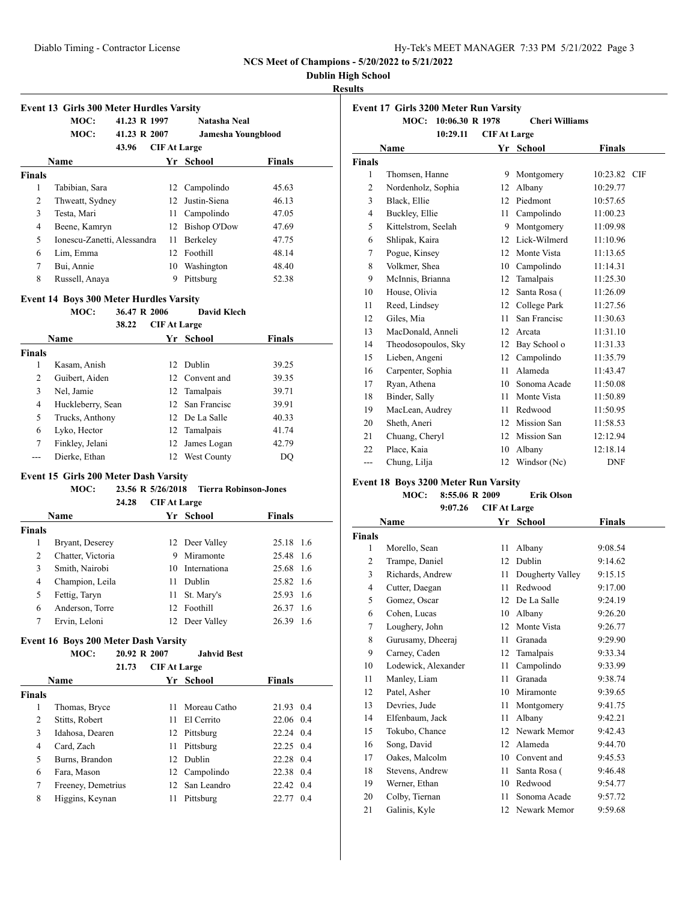### **Dublin High School**

### **Results**

|               | <b>Event 13 Girls 300 Meter Hurdles Varsity</b> |                     |                    |               |  |
|---------------|-------------------------------------------------|---------------------|--------------------|---------------|--|
|               | 41.23 R 1997<br>MOC:                            |                     | Natasha Neal       |               |  |
|               | MOC:<br>41.23 R 2007                            |                     | Jamesha Youngblood |               |  |
|               | 43.96                                           | <b>CIF At Large</b> |                    |               |  |
|               | Name                                            |                     | Yr School          | <b>Finals</b> |  |
| <b>Finals</b> |                                                 |                     |                    |               |  |
| 1             | Tabibian, Sara                                  | 12                  | Campolindo         | 45.63         |  |
| 2             | Thweatt, Sydney                                 | 12 <sub>1</sub>     | Justin-Siena       | 46.13         |  |
| 3             | Testa, Mari                                     | 11                  | Campolindo         | 47.05         |  |
| 4             | Beene, Kamryn                                   | 12                  | Bishop O'Dow       | 47.69         |  |
| 5             | Ionescu-Zanetti, Alessandra                     | 11                  | Berkeley           | 47.75         |  |
| 6             | Lim, Emma                                       | 12                  | Foothill           | 48.14         |  |
| 7             | Bui, Annie                                      | 10                  | Washington         | 48.40         |  |
| 8             | Russell, Anaya                                  | 9                   | Pittsburg          | 52.38         |  |

# **Event 14 Boys 300 Meter Hurdles Varsity<br>MOC:** 36.47 R 2006 L

#### **MOC: 36.47 R 2006 David Klech**

|        | 38.22             | <b>CIF At Large</b> |                 |               |
|--------|-------------------|---------------------|-----------------|---------------|
|        | <b>Name</b>       |                     | Yr School       | <b>Finals</b> |
| Finals |                   |                     |                 |               |
| 1      | Kasam, Anish      |                     | 12 Dublin       | 39.25         |
| 2      | Guibert, Aiden    |                     | 12 Convent and  | 39.35         |
| 3      | Nel, Jamie        |                     | 12 Tamalpais    | 39.71         |
| 4      | Huckleberry, Sean |                     | 12 San Francisc | 39.91         |
| 5      | Trucks, Anthony   |                     | 12 De La Salle  | 40.33         |
| 6      | Lyko, Hector      |                     | 12 Tamalpais    | 41.74         |
| 7      | Finkley, Jelani   |                     | 12 James Logan  | 42.79         |
|        | Dierke, Ethan     | 12                  | West County     | DO            |

### **Event 15 Girls 200 Meter Dash Varsity**

### **MOC: 23.56 R 5/26/2018 Tierra Robinson-Jones 24.28 CIF At Large**

|        | <b>Name</b>       |    | Yr School       | Finals        |  |
|--------|-------------------|----|-----------------|---------------|--|
| Finals |                   |    |                 |               |  |
|        | Bryant, Deserey   |    | 12 Deer Valley  | 25.18 1.6     |  |
| 2      | Chatter, Victoria | 9  | Miramonte       | 25.48 1.6     |  |
| 3      | Smith, Nairobi    |    | 10 Internationa | 25.68 1.6     |  |
| 4      | Champion, Leila   | 11 | Dublin          | 25.82 1.6     |  |
| 5      | Fettig, Taryn     |    | 11 St. Mary's   | 25.93<br>-1.6 |  |
| 6      | Anderson, Torre   |    | 12 Foothill     | 26.37 1.6     |  |
|        | Ervin, Leloni     |    | 12 Deer Valley  | 26.39<br>1.6  |  |
|        |                   |    |                 |               |  |

### **Event 16 Boys 200 Meter Dash Varsity**

### **MOC: 20.92 R 2007 Jahvid Best**

|               | 21.73              | <b>CIF At Large</b> |                |               |     |
|---------------|--------------------|---------------------|----------------|---------------|-----|
|               | <b>Name</b>        |                     | Yr School      | <b>Finals</b> |     |
| <b>Finals</b> |                    |                     |                |               |     |
| 1             | Thomas, Bryce      | 11.                 | - Moreau Catho | 21.93 0.4     |     |
| 2             | Stitts, Robert     | 11.                 | El Cerrito     | 22.06 0.4     |     |
| 3             | Idahosa, Dearen    | 12                  | Pittsburg      | 22.24 0.4     |     |
| 4             | Card, Zach         | 11                  | Pittsburg      | 22.25 0.4     |     |
| 5             | Burns, Brandon     | 12 <sup>1</sup>     | Dublin         | 22.28 0.4     |     |
| 6             | Fara, Mason        |                     | 12 Campolindo  | 22.38 0.4     |     |
| 7             | Freeney, Demetrius |                     | 12 San Leandro | 22.42 0.4     |     |
| 8             | Higgins, Keynan    | 11                  | Pittsburg      | 22.77         | 0.4 |

| Event 17 Girls 3200 Meter Run Varsity |                         |                     |                       |               |  |
|---------------------------------------|-------------------------|---------------------|-----------------------|---------------|--|
|                                       | 10:06.30 R 1978<br>MOC: |                     | <b>Cheri Williams</b> |               |  |
|                                       | 10:29.11                | <b>CIF At Large</b> |                       |               |  |
|                                       | Name                    |                     | Yr School             | <b>Finals</b> |  |
| <b>Finals</b>                         |                         |                     |                       |               |  |
| 1                                     | Thomsen, Hanne          | 9                   | Montgomery            | 10:23.82 CIF  |  |
| 2                                     | Nordenholz, Sophia      | 12                  | Albany                | 10:29.77      |  |
| 3                                     | Black, Ellie            | 12                  | Piedmont              | 10:57.65      |  |
| 4                                     | Buckley, Ellie          | 11                  | Campolindo            | 11:00.23      |  |
| 5                                     | Kittelstrom, Seelah     | 9                   | Montgomery            | 11:09.98      |  |
| 6                                     | Shlipak, Kaira          | 12                  | Lick-Wilmerd          | 11:10.96      |  |
| 7                                     | Pogue, Kinsey           | 12                  | Monte Vista           | 11:13.65      |  |
| 8                                     | Volkmer, Shea           | 10                  | Campolindo            | 11:14.31      |  |
| 9                                     | McInnis, Brianna        | 12                  | Tamalpais             | 11:25.30      |  |
| 10                                    | House, Olivia           | 12                  | Santa Rosa (          | 11:26.09      |  |
| 11                                    | Reed, Lindsey           | 12                  | College Park          | 11:27.56      |  |
| 12                                    | Giles, Mia              | 11                  | San Francisc          | 11:30.63      |  |
| 13                                    | MacDonald, Anneli       | 12                  | Arcata                | 11:31.10      |  |
| 14                                    | Theodosopoulos, Sky     | 12                  | Bay School o          | 11:31.33      |  |
| 15                                    | Lieben, Angeni          | 12                  | Campolindo            | 11:35.79      |  |
| 16                                    | Carpenter, Sophia       | 11                  | Alameda               | 11:43.47      |  |
| 17                                    | Ryan, Athena            | 10                  | Sonoma Acade          | 11:50.08      |  |
| 18                                    | Binder, Sally           | 11                  | Monte Vista           | 11:50.89      |  |
| 19                                    | MacLean, Audrey         | 11                  | Redwood               | 11:50.95      |  |
| 20                                    | Sheth, Aneri            | 12                  | Mission San           | 11:58.53      |  |
| 21                                    | Chuang, Cheryl          | 12                  | Mission San           | 12:12.94      |  |
| 22                                    | Place, Kaia             | 10                  | Albany                | 12:18.14      |  |
| ---                                   | Chung, Lilja            | 12                  | Windsor (Nc)          | <b>DNF</b>    |  |
|                                       |                         |                     |                       |               |  |

### **Event 18 Boys 3200 Meter Run Varsity**

#### **MOC: 8:55.06 R 2009 Erik Olson 9:07.26 CIF At Large**

|                | 9:07.ZO             | UIF At Large |                  |               |
|----------------|---------------------|--------------|------------------|---------------|
|                | Name                |              | Yr School        | <b>Finals</b> |
| <b>Finals</b>  |                     |              |                  |               |
| 1              | Morello, Sean       | 11           | Albany           | 9:08.54       |
| 2              | Trampe, Daniel      | 12           | Dublin           | 9:14.62       |
| 3              | Richards, Andrew    | 11           | Dougherty Valley | 9:15.15       |
| $\overline{4}$ | Cutter, Daegan      | 11           | Redwood          | 9:17.00       |
| 5              | Gomez, Oscar        | 12           | De La Salle      | 9:24.19       |
| 6              | Cohen, Lucas        | 10           | Albany           | 9:26.20       |
| 7              | Loughery, John      | 12           | Monte Vista      | 9:26.77       |
| 8              | Gurusamy, Dheeraj   | 11           | Granada          | 9:29.90       |
| 9              | Carney, Caden       | 12           | Tamalpais        | 9:33.34       |
| 10             | Lodewick, Alexander | 11           | Campolindo       | 9:33.99       |
| 11             | Manley, Liam        | 11           | Granada          | 9:38.74       |
| 12             | Patel, Asher        | 10           | Miramonte        | 9:39.65       |
| 13             | Devries, Jude       | 11           | Montgomery       | 9:41.75       |
| 14             | Elfenbaum, Jack     | 11           | Albany           | 9:42.21       |
| 15             | Tokubo, Chance      | 12           | Newark Memor     | 9:42.43       |
| 16             | Song, David         | 12           | Alameda          | 9:44.70       |
| 17             | Oakes, Malcolm      | 10           | Convent and      | 9:45.53       |
| 18             | Stevens, Andrew     | 11           | Santa Rosa (     | 9:46.48       |
| 19             | Werner, Ethan       | 10           | Redwood          | 9:54.77       |
| 20             | Colby, Tiernan      | 11           | Sonoma Acade     | 9:57.72       |
| 21             | Galinis, Kyle       | 12           | Newark Memor     | 9:59.68       |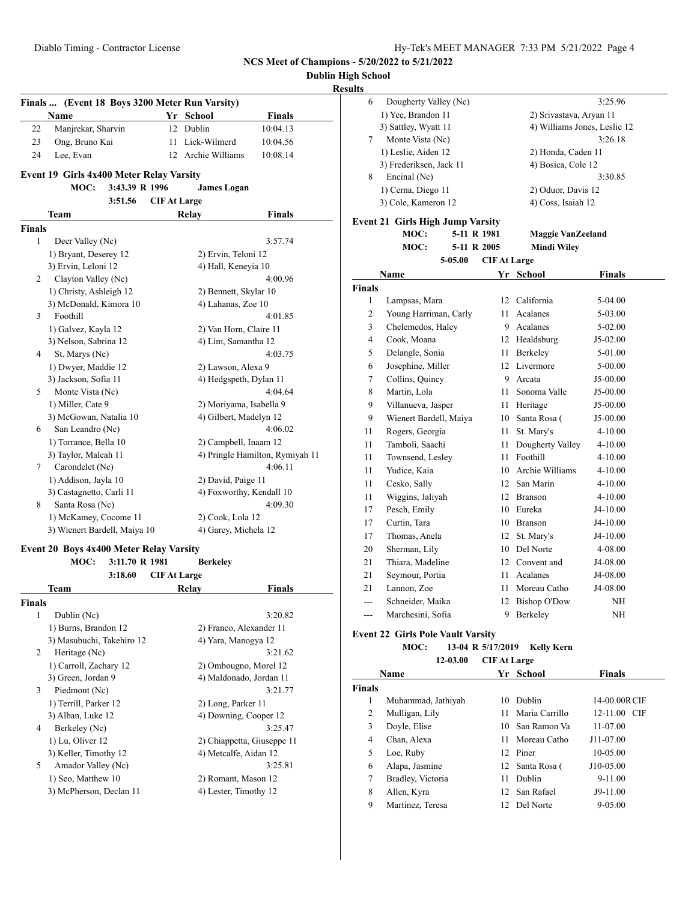**Dublin High School**

**Results**

|               | Finals  (Event 18 Boys 3200 Meter Run Varsity) |                     |                          |                                 |
|---------------|------------------------------------------------|---------------------|--------------------------|---------------------------------|
|               | Name                                           |                     | Yr School                | Finals                          |
| 22            | Manjrekar, Sharvin                             |                     | 12 Dublin                | 10:04.13                        |
| 23            | Ong, Bruno Kai                                 | 11                  | Lick-Wilmerd             | 10:04.56                        |
| 24            | Lee. Evan                                      | 12                  | Archie Williams          | 10:08.14                        |
|               | Event 19 Girls 4x400 Meter Relay Varsity       |                     |                          |                                 |
|               | MOC:<br>3:43.39 R 1996                         |                     | <b>James Logan</b>       |                                 |
|               | 3:51.56                                        | <b>CIF At Large</b> |                          |                                 |
|               | Team                                           |                     | Relay                    | <b>Finals</b>                   |
| <b>Finals</b> |                                                |                     |                          |                                 |
| 1             | Deer Valley (Nc)                               |                     |                          | 3:57.74                         |
|               | 1) Bryant, Deserey 12                          |                     | 2) Ervin, Teloni 12      |                                 |
|               | 3) Ervin, Leloni 12                            |                     | 4) Hall, Keneyia 10      |                                 |
| 2             | Clayton Valley (Nc)                            |                     |                          | 4:00.96                         |
|               | 1) Christy, Ashleigh 12                        |                     | 2) Bennett, Skylar 10    |                                 |
|               | 3) McDonald, Kimora 10                         |                     | 4) Lahanas, Zoe 10       |                                 |
| 3             | Foothill                                       |                     |                          | 4:01.85                         |
|               | 1) Galvez, Kayla 12                            |                     | 2) Van Horn, Claire 11   |                                 |
|               | 3) Nelson, Sabrina 12                          |                     | 4) Lim, Samantha 12      |                                 |
| 4             | St. Marys (Nc)                                 |                     |                          | 4:03.75                         |
|               | 1) Dwyer, Maddie 12                            |                     | 2) Lawson, Alexa 9       |                                 |
|               | 3) Jackson, Sofia 11                           |                     | 4) Hedgspeth, Dylan 11   |                                 |
| 5             | Monte Vista (Nc)                               |                     |                          | 4:04.64                         |
|               | 1) Miller, Cate 9                              |                     | 2) Moriyama, Isabella 9  |                                 |
|               | 3) McGowan, Natalia 10                         |                     |                          |                                 |
| 6             | San Leandro (Nc)                               |                     | 4) Gilbert, Madelyn 12   | 4:06.02                         |
|               |                                                |                     |                          |                                 |
|               | 1) Torrance, Bella 10                          |                     | 2) Campbell, Inaam 12    |                                 |
|               | 3) Taylor, Maleah 11                           |                     |                          | 4) Pringle Hamilton, Rymiyah 11 |
| 7             | Carondelet (Nc)                                |                     |                          | 4:06.11                         |
|               | 1) Addison, Jayla 10                           |                     | 2) David, Paige 11       |                                 |
|               | 3) Castagnetto, Carli 11                       |                     | 4) Foxworthy, Kendall 10 |                                 |
| 8             | Santa Rosa (Nc)                                |                     |                          | 4:09.30                         |
|               | 1) McKamey, Cocome 11                          |                     | 2) Cook, Lola 12         |                                 |
|               | 3) Wienert Bardell, Maiya 10                   |                     | 4) Garey, Michela 12     |                                 |
|               | Event 20 Boys 4x400 Meter Relay Varsity        |                     |                          |                                 |
|               | MOC:<br>3:11.70 R 1981                         |                     | <b>Berkeley</b>          |                                 |
|               | 3:18.60                                        | <b>CIFAt Large</b>  |                          |                                 |
|               | Team                                           |                     | Relay                    | Finals                          |
| Finals        |                                                |                     |                          |                                 |
| 1             | Dublin (Nc)                                    |                     |                          | 3:20.82                         |
|               | 1) Burns, Brandon 12                           |                     | 2) Franco, Alexander 11  |                                 |
|               | 3) Masubuchi, Takehiro 12                      |                     | 4) Yara, Manogya 12      |                                 |
| 2             | Heritage (Nc)                                  |                     |                          | 3:21.62                         |
|               | 1) Carroll, Zachary 12                         |                     | 2) Ombougno, Morel 12    |                                 |
|               | 3) Green, Jordan 9                             |                     | 4) Maldonado, Jordan 11  |                                 |
| 3             | Piedmont (Nc)                                  |                     |                          | 3:21.77                         |
|               | 1) Terrill, Parker 12                          |                     | 2) Long, Parker 11       |                                 |
|               | 3) Alban, Luke 12                              |                     | 4) Downing, Cooper 12    |                                 |
| 4             | Berkeley (Nc)                                  |                     |                          | 3:25.47                         |

1) Lu, Oliver 12 2) Chiappetta, Giuseppe 11 3) Keller, Timothy 12 4) Metcalfe, Aidan 12 5 Amador Valley (Nc) 3:25.81 1) Seo, Matthew 10 2) Romant, Mason 12 3) McPherson, Declan 11 4) Lester, Timothy 12

| 6      | Dougherty Valley (Nc)                    |                     |                              | 3:25.96       |  |
|--------|------------------------------------------|---------------------|------------------------------|---------------|--|
|        | 1) Yee, Brandon 11                       |                     | 2) Srivastava, Aryan 11      |               |  |
|        | 3) Sattley, Wyatt 11                     |                     | 4) Williams Jones, Leslie 12 |               |  |
| 7      | Monte Vista (Nc)                         |                     |                              | 3:26.18       |  |
|        | 1) Leslie, Aiden 12                      |                     | 2) Honda, Caden 11           |               |  |
|        | 3) Frederiksen, Jack 11                  |                     | 4) Bosica, Cole 12           |               |  |
| 8      | Encinal (Nc)                             |                     |                              | 3:30.85       |  |
|        | 1) Cerna, Diego 11                       |                     | 2) Oduor, Davis 12           |               |  |
|        | 3) Cole, Kameron 12                      |                     | 4) Coss, Isaiah 12           |               |  |
|        | <b>Event 21 Girls High Jump Varsity</b>  |                     |                              |               |  |
|        | MOC:<br>5-11 R 1981                      |                     | <b>Maggie VanZeeland</b>     |               |  |
|        | MOC:<br>5-11 R 2005                      |                     | <b>Mindi Wilev</b>           |               |  |
|        | 5-05.00                                  | <b>CIF At Large</b> |                              |               |  |
|        | Name                                     |                     | Yr School                    | <b>Finals</b> |  |
| Finals |                                          |                     |                              |               |  |
| 1      | Lampsas, Mara                            |                     | 12 California                | 5-04.00       |  |
| 2      | Young Harriman, Carly                    | 11 -                | Acalanes                     | 5-03.00       |  |
| 3      | Chelemedos, Haley                        |                     | 9 Acalanes                   | 5-02.00       |  |
| 4      | Cook, Moana                              |                     | 12 Healdsburg                | $J5-02.00$    |  |
| 5      | Delangle, Sonia                          | 11 -                | Berkeley                     | 5-01.00       |  |
|        | Josephine, Miller                        |                     | 12 Livermore                 |               |  |
| 6      |                                          |                     | 9 Arcata                     | 5-00.00       |  |
| 7      | Collins, Quincy<br>Martin, Lola          |                     |                              | J5-00.00      |  |
| 8      |                                          | 11 -                | Sonoma Valle                 | J5-00.00      |  |
| 9      | Villanueva, Jasper                       | 11 -                | Heritage                     | J5-00.00      |  |
| 9      | Wienert Bardell, Maiya                   | 10                  | Santa Rosa (                 | J5-00.00      |  |
| 11     | Rogers, Georgia                          | 11 -                | St. Mary's                   | 4-10.00       |  |
| 11     | Tamboli, Saachi                          | 11 -                | Dougherty Valley             | 4-10.00       |  |
| 11     | Townsend, Lesley                         |                     | 11 Foothill                  | 4-10.00       |  |
| 11     | Yudice, Kaia                             |                     | 10 Archie Williams           | 4-10.00       |  |
| 11     | Cesko, Sally                             |                     | 12 San Marin                 | 4-10.00       |  |
| 11     | Wiggins, Jaliyah                         |                     | 12 Branson                   | $4 - 10.00$   |  |
| 17     | Pesch, Emily                             |                     | 10 Eureka                    | J4-10.00      |  |
| 17     | Curtin, Tara                             |                     | 10 Branson                   | J4-10.00      |  |
| 17     | Thomas, Anela                            | 12                  | St. Mary's                   | J4-10.00      |  |
| 20     | Sherman, Lily                            |                     | 10 Del Norte                 | 4-08.00       |  |
| 21     | Thiara, Madeline                         |                     | 12 Convent and               | J4-08.00      |  |
| 21     | Seymour, Portia                          | 11 -                | Acalanes                     | J4-08.00      |  |
| 21     | Lannon, Zoe                              | 11 -                | Moreau Catho                 | J4-08.00      |  |
| ---    | Schneider, Maika                         |                     | 12 Bishop O'Dow              | NΗ            |  |
|        | Marchesini, Sofia                        |                     | 9 Berkeley                   | NΗ            |  |
|        | <b>Event 22 Girls Pole Vault Varsity</b> |                     |                              |               |  |
|        | 13-04 R 5/17/2019<br><b>MOC:</b>         |                     | <b>Kelly Kern</b>            |               |  |
|        | 12-03.00                                 | <b>CIF At Large</b> |                              |               |  |
|        | Name                                     |                     | Yr School                    | <b>Finals</b> |  |
| Finals |                                          |                     |                              |               |  |
| 1      | Muhammad, Jathiyah                       |                     | 10 Dublin                    | 14-00.00RCIF  |  |
| 2      | Mulligan, Lily                           | 11                  | Maria Carrillo               | 12-11.00 CIF  |  |
| 3      | Doyle, Elise                             | 10-                 | San Ramon Va                 | 11-07.00      |  |
| 4      | Chan, Alexa                              | 11 -                | Moreau Catho                 | J11-07.00     |  |
| 5      | Loe, Ruby                                |                     | 12 Piner                     | 10-05.00      |  |
|        |                                          |                     | $\mathbf{C}$                 | 110.05.00     |  |

6 Alapa, Jasmine 12 Santa Rosa ( J10-05.00 7 Bradley, Victoria 11 Dublin 9-11.00 8 Allen, Kyra 12 San Rafael J9-11.00 9 Martinez, Teresa 12 Del Norte 9-05.00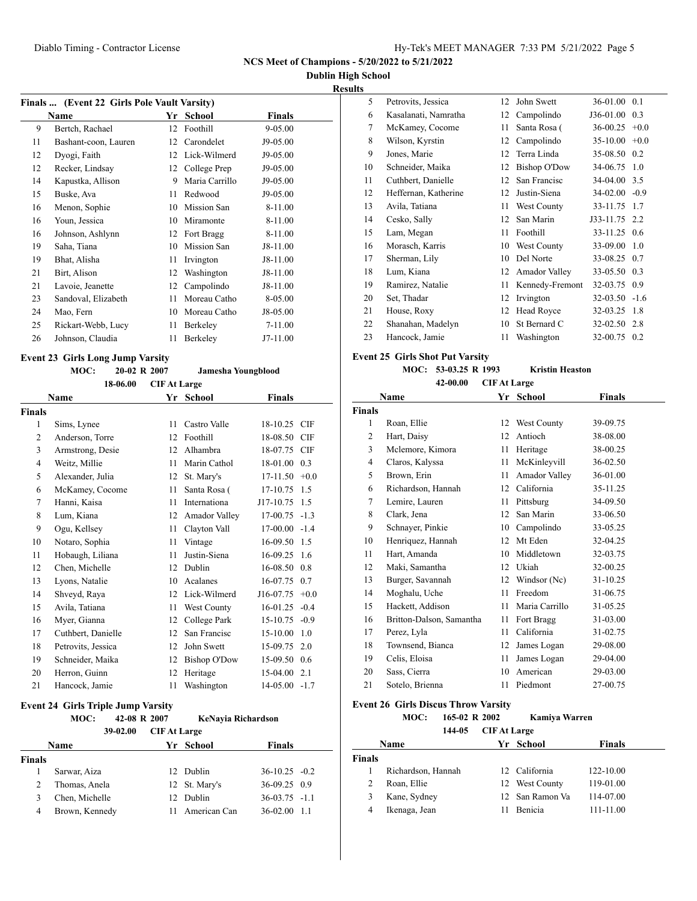### **Dublin High School**

**Results**

| Finals  (Event 22 Girls Pole Vault Varsity) |                      |     |                |          |  |  |
|---------------------------------------------|----------------------|-----|----------------|----------|--|--|
|                                             | Name                 | Yr. | School         | Finals   |  |  |
| 9                                           | Bertch, Rachael      | 12  | Foothill       | 9-05.00  |  |  |
| 11                                          | Bashant-coon, Lauren | 12  | Carondelet     | J9-05.00 |  |  |
| 12                                          | Dyogi, Faith         | 12  | Lick-Wilmerd   | J9-05.00 |  |  |
| 12                                          | Recker, Lindsay      | 12  | College Prep   | J9-05.00 |  |  |
| 14                                          | Kapustka, Allison    | 9   | Maria Carrillo | J9-05.00 |  |  |
| 15                                          | Buske, Ava           | 11  | Redwood        | J9-05.00 |  |  |
| 16                                          | Menon, Sophie        | 10  | Mission San    | 8-11.00  |  |  |
| 16                                          | Youn, Jessica        | 10  | Miramonte      | 8-11.00  |  |  |
| 16                                          | Johnson, Ashlynn     | 12  | Fort Bragg     | 8-11.00  |  |  |
| 19                                          | Saha, Tiana          | 10  | Mission San    | J8-11.00 |  |  |
| 19                                          | Bhat, Alisha         | 11  | Irvington      | J8-11.00 |  |  |
| 21                                          | Birt, Alison         | 12  | Washington     | J8-11.00 |  |  |
| 21                                          | Lavoie, Jeanette     | 12  | Campolindo     | J8-11.00 |  |  |
| 23                                          | Sandoval, Elizabeth  | 11  | Moreau Catho   | 8-05.00  |  |  |
| 24                                          | Mao, Fern            | 10  | Moreau Catho   | J8-05.00 |  |  |
| 25                                          | Rickart-Webb, Lucy   | 11  | Berkeley       | 7-11.00  |  |  |
| 26                                          | Johnson, Claudia     | 11  | Berkeley       | J7-11.00 |  |  |

### **Event 23 Girls Long Jump Varsity**

#### **MOC: 20-02 R 2007 Jamesha Youngblood**

|                | 18-06.00           | <b>CIF At Large</b> |                     |               |            |
|----------------|--------------------|---------------------|---------------------|---------------|------------|
|                | Name               |                     | Yr School           | <b>Finals</b> |            |
| Finals         |                    |                     |                     |               |            |
| 1              | Sims, Lynee        | 11                  | Castro Valle        | 18-10.25 CIF  |            |
| 2              | Anderson, Torre    | 12                  | Foothill            | 18-08.50      | <b>CIF</b> |
| 3              | Armstrong, Desie   | 12                  | Alhambra            | 18-07.75 CIF  |            |
| $\overline{4}$ | Weitz, Millie      | 11                  | Marin Cathol        | 18-01.00      | 0.3        |
| 5              | Alexander, Julia   | 12                  | St. Mary's          | 17-11.50      | $+0.0$     |
| 6              | McKamey, Cocome    | 11                  | Santa Rosa (        | 17-10.75      | 1.5        |
| 7              | Hanni, Kaisa       | 11                  | <b>Internationa</b> | J17-10.75     | 1.5        |
| 8              | Lum, Kiana         | 12                  | Amador Valley       | 17-00.75      | $-1.3$     |
| 9              | Ogu, Kellsey       | 11                  | Clayton Vall        | 17-00.00      | $-1.4$     |
| 10             | Notaro, Sophia     | 11                  | Vintage             | 16-09.50      | 1.5        |
| 11             | Hobaugh, Liliana   | 11                  | Justin-Siena        | 16-09.25      | 1.6        |
| 12             | Chen, Michelle     | 12                  | Dublin              | 16-08.50      | 0.8        |
| 13             | Lyons, Natalie     | 10                  | Acalanes            | 16-07.75      | 0.7        |
| 14             | Shveyd, Raya       | 12                  | Lick-Wilmerd        | J16-07.75     | $+0.0$     |
| 15             | Avila, Tatiana     | 11                  | West County         | $16 - 01.25$  | $-0.4$     |
| 16             | Myer, Gianna       | 12                  | College Park        | 15-10.75      | $-0.9$     |
| 17             | Cuthbert, Danielle | 12                  | San Francisc        | 15-10.00      | 1.0        |
| 18             | Petrovits, Jessica | 12                  | John Swett          | 15-09.75      | 2.0        |
| 19             | Schneider, Maika   | 12                  | <b>Bishop O'Dow</b> | 15-09.50      | 0.6        |
| 20             | Herron, Guinn      | 12                  | Heritage            | 15-04.00      | 2.1        |
| 21             | Hancock, Jamie     | 11                  | Washington          | 14-05.00      | $-1.7$     |

#### **Event 24 Girls Triple Jump Varsity**

|               | MOC:           | 42-08 R 2007 |                     | KeNayia Richardson |                 |     |
|---------------|----------------|--------------|---------------------|--------------------|-----------------|-----|
|               |                | 39-02.00     | <b>CIF At Large</b> |                    |                 |     |
|               | <b>Name</b>    |              |                     | Yr School          | <b>Finals</b>   |     |
| <b>Finals</b> |                |              |                     |                    |                 |     |
|               | Sarwar, Aiza   |              |                     | 12 Dublin          | $36-10.25 -0.2$ |     |
| 2             | Thomas, Anela  |              |                     | 12 St. Mary's      | $36-09.25$ 0.9  |     |
| 3             | Chen, Michelle |              | 12 <sub>1</sub>     | Dublin             | $36-03.75 -1.1$ |     |
| 4             | Brown, Kennedy |              | 11                  | American Can       | 36-02.00        | 1.1 |

| دد |                      |    |                     |              |        |
|----|----------------------|----|---------------------|--------------|--------|
| 5  | Petrovits, Jessica   | 12 | John Swett          | 36-01.00     | 0.1    |
| 6  | Kasalanati, Namratha | 12 | Campolindo          | J36-01.00    | 0.3    |
| 7  | McKamey, Cocome      | 11 | Santa Rosa (        | 36-00.25     | $+0.0$ |
| 8  | Wilson, Kyrstin      | 12 | Campolindo          | $35-10.00$   | $+0.0$ |
| 9  | Jones, Marie         | 12 | Terra Linda         | 35-08.50     | 0.2    |
| 10 | Schneider, Maika     | 12 | <b>Bishop O'Dow</b> | 34-06.75     | 1.0    |
| 11 | Cuthbert, Danielle   | 12 | San Francisc        | 34-04.00 3.5 |        |
| 12 | Heffernan, Katherine | 12 | Justin-Siena        | 34-02.00     | $-0.9$ |
| 13 | Avila, Tatiana       | 11 | West County         | 33-11.75     | 1.7    |
| 14 | Cesko, Sally         | 12 | San Marin           | J33-11.75    | 2.2    |
| 15 | Lam, Megan           | 11 | Foothill            | 33-11.25     | 0.6    |
| 16 | Morasch, Karris      | 10 | West County         | 33-09.00     | 1.0    |
| 17 | Sherman, Lily        | 10 | Del Norte           | 33-08.25     | 0.7    |
| 18 | Lum, Kiana           | 12 | Amador Valley       | 33-05.50     | 0.3    |
| 19 | Ramirez, Natalie     | 11 | Kennedy-Fremont     | 32-03.75     | 0.9    |
| 20 | Set, Thadar          | 12 | Irvington           | 32-03.50     | $-1.6$ |
| 21 | House, Roxy          | 12 | Head Royce          | 32-03.25     | 1.8    |
| 22 | Shanahan, Madelyn    | 10 | St Bernard C        | 32-02.50     | 2.8    |
| 23 | Hancock, Jamie       | 11 | Washington          | 32-00.75     | 0.2    |
|    |                      |    |                     |              |        |

### **Event 25 Girls Shot Put Varsity**

#### **MOC: 53-03.25 R 1993 Kristin Heaston 42-00.00 CIF At Large**

|        | Name                     | Yr | <b>School</b>  | <b>Finals</b> |
|--------|--------------------------|----|----------------|---------------|
| Finals |                          |    |                |               |
| 1      | Roan, Ellie              | 12 | West County    | 39-09.75      |
| 2      | Hart, Daisy              | 12 | Antioch        | 38-08.00      |
| 3      | Mclemore, Kimora         | 11 | Heritage       | 38-00.25      |
| 4      | Claros, Kalyssa          | 11 | McKinleyvill   | 36-02.50      |
| 5      | Brown, Erin              | 11 | Amador Valley  | 36-01.00      |
| 6      | Richardson, Hannah       | 12 | California     | 35-11.25      |
| 7      | Lemire, Lauren           | 11 | Pittsburg      | 34-09.50      |
| 8      | Clark, Jena              | 12 | San Marin      | 33-06.50      |
| 9      | Schnayer, Pinkie         | 10 | Campolindo     | 33-05.25      |
| 10     | Henriquez, Hannah        | 12 | Mt Eden        | 32-04.25      |
| 11     | Hart, Amanda             | 10 | Middletown     | 32-03.75      |
| 12     | Maki, Samantha           | 12 | Ukiah          | 32-00.25      |
| 13     | Burger, Savannah         | 12 | Windsor (Nc)   | 31-10.25      |
| 14     | Moghalu, Uche            | 11 | Freedom        | 31-06.75      |
| 15     | Hackett, Addison         | 11 | Maria Carrillo | 31-05.25      |
| 16     | Britton-Dalson, Samantha | 11 | Fort Bragg     | 31-03.00      |
| 17     | Perez, Lyla              | 11 | California     | 31-02.75      |
| 18     | Townsend, Bianca         | 12 | James Logan    | 29-08.00      |
| 19     | Celis, Eloisa            | 11 | James Logan    | 29-04.00      |
| 20     | Sass, Cierra             | 10 | American       | 29-03.00      |
| 21     | Sotelo, Brienna          | 11 | Piedmont       | 27-00.75      |
|        |                          |    |                |               |

#### **Event 26 Girls Discus Throw Varsity**

**MOC: 165-02 R 2002 Kamiya Warren**

**144-05 CIF At Large**

|        | <b>Name</b>        | Yr School       | <b>Finals</b> |  |
|--------|--------------------|-----------------|---------------|--|
| Finals |                    |                 |               |  |
|        | Richardson, Hannah | 12 California   | 122-10.00     |  |
|        | Roan, Ellie        | 12 West County  | 119-01.00     |  |
|        | Kane, Sydney       | 12 San Ramon Va | 114-07.00     |  |
|        | Ikenaga, Jean      | <b>Benicia</b>  | 111-11.00     |  |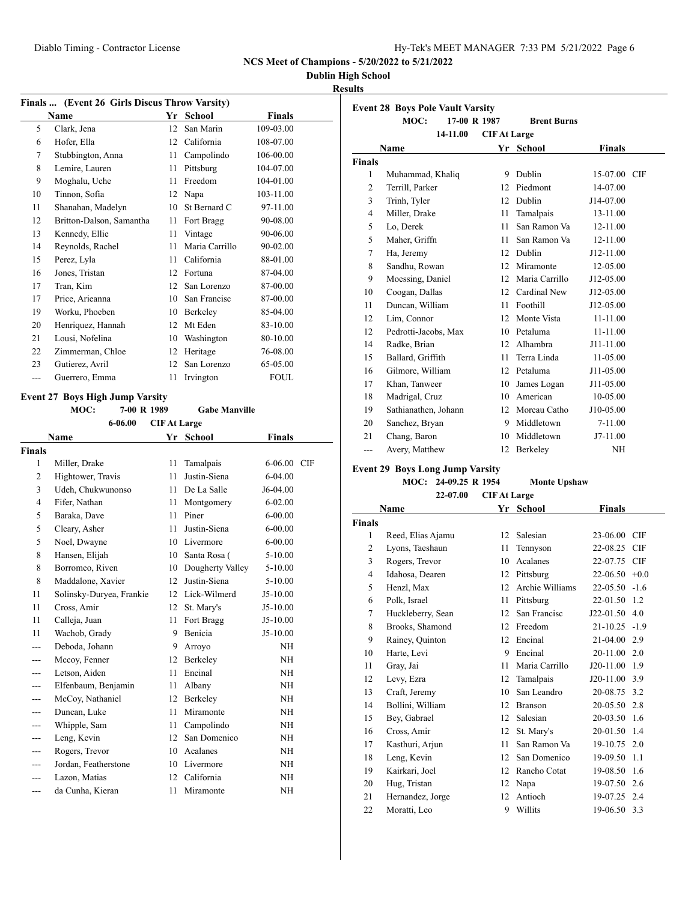| Hy-Tek's MEET MANAGER 7:33 PM 5/21/2022 Page 6 |  |  |
|------------------------------------------------|--|--|
|                                                |  |  |

### **Dublin High School**

### **Results**

|       | Finals  (Event 26 Girls Discus Throw Varsity) |    |                |               |  |
|-------|-----------------------------------------------|----|----------------|---------------|--|
|       | <b>Name</b>                                   | Yr | School         | <b>Finals</b> |  |
| 5     | Clark, Jena                                   | 12 | San Marin      | 109-03.00     |  |
| 6     | Hofer, Ella                                   | 12 | California     | 108-07.00     |  |
| 7     | Stubbington, Anna                             | 11 | Campolindo     | 106-00.00     |  |
| 8     | Lemire, Lauren                                | 11 | Pittsburg      | 104-07.00     |  |
| 9     | Moghalu, Uche                                 | 11 | Freedom        | 104-01.00     |  |
| 10    | Tinnon, Sofia                                 | 12 | Napa           | 103-11.00     |  |
| 11    | Shanahan, Madelyn                             | 10 | St Bernard C   | 97-11.00      |  |
| 12    | Britton-Dalson, Samantha                      | 11 | Fort Bragg     | 90-08.00      |  |
| 13    | Kennedy, Ellie                                | 11 | Vintage        | 90-06.00      |  |
| 14    | Reynolds, Rachel                              | 11 | Maria Carrillo | 90-02.00      |  |
| 15    | Perez, Lyla                                   | 11 | California     | 88-01.00      |  |
| 16    | Jones, Tristan                                | 12 | Fortuna        | 87-04.00      |  |
| 17    | Tran, Kim                                     | 12 | San Lorenzo    | 87-00.00      |  |
| 17    | Price, Arieanna                               | 10 | San Francisc   | 87-00.00      |  |
| 19    | Worku, Phoeben                                | 10 | Berkeley       | 85-04.00      |  |
| 20    | Henriquez, Hannah                             | 12 | Mt Eden        | 83-10.00      |  |
| 21    | Lousi, Nofelina                               | 10 | Washington     | 80-10.00      |  |
| 22    | Zimmerman, Chloe                              | 12 | Heritage       | 76-08.00      |  |
| 23    | Gutierez, Avril                               | 12 | San Lorenzo    | 65-05.00      |  |
| $---$ | Guerrero, Emma                                | 11 | Irvington      | <b>FOUL</b>   |  |
|       |                                               |    |                |               |  |

### **Event 27 Boys High Jump Varsity**

**MOC: 7-00 R 1989 Gabe Manville**

| 6-06.00<br><b>CIF At Large</b> |                          |    |                  |                           |  |
|--------------------------------|--------------------------|----|------------------|---------------------------|--|
|                                | Name                     | Yr | <b>School</b>    | <b>Finals</b>             |  |
| <b>Finals</b>                  |                          |    |                  |                           |  |
| 1                              | Miller, Drake            | 11 | Tamalpais        | $6 - 06.00$<br><b>CIF</b> |  |
| $\overline{2}$                 | Hightower, Travis        | 11 | Justin-Siena     | $6 - 04.00$               |  |
| 3                              | Udeh, Chukwunonso        | 11 | De La Salle      | J6-04.00                  |  |
| $\overline{4}$                 | Fifer, Nathan            | 11 | Montgomery       | $6 - 02.00$               |  |
| 5                              | Baraka, Dave             | 11 | Piner            | $6 - 00.00$               |  |
| 5                              | Cleary, Asher            | 11 | Justin-Siena     | $6 - 00.00$               |  |
| 5                              | Noel, Dwayne             | 10 | Livermore        | $6 - 00.00$               |  |
| 8                              | Hansen, Elijah           | 10 | Santa Rosa (     | 5-10.00                   |  |
| 8                              | Borromeo, Riven          | 10 | Dougherty Valley | $5 - 10.00$               |  |
| 8                              | Maddalone, Xavier        | 12 | Justin-Siena     | $5 - 10.00$               |  |
| 11                             | Solinsky-Duryea, Frankie | 12 | Lick-Wilmerd     | $J5-10.00$                |  |
| 11                             | Cross, Amir              | 12 | St. Mary's       | $J5-10.00$                |  |
| 11                             | Calleja, Juan            | 11 | Fort Bragg       | $J5-10.00$                |  |
| 11                             | Wachob, Grady            | 9  | Benicia          | $J5-10.00$                |  |
| ---                            | Deboda, Johann           | 9  | Arroyo           | <b>NH</b>                 |  |
| ---                            | Mccoy, Fenner            | 12 | Berkeley         | <b>NH</b>                 |  |
| ---                            | Letson, Aiden            | 11 | Encinal          | <b>NH</b>                 |  |
| ---                            | Elfenbaum, Benjamin      | 11 | Albany           | <b>NH</b>                 |  |
|                                | McCoy, Nathaniel         | 12 | Berkeley         | <b>NH</b>                 |  |
| ---                            | Duncan, Luke             | 11 | Miramonte        | <b>NH</b>                 |  |
| ---                            | Whipple, Sam             | 11 | Campolindo       | <b>NH</b>                 |  |
| ---                            | Leng, Kevin              | 12 | San Domenico     | <b>NH</b>                 |  |
| ---                            | Rogers, Trevor           | 10 | Acalanes         | <b>NH</b>                 |  |
| ---                            | Jordan, Featherstone     | 10 | Livermore        | <b>NH</b>                 |  |
|                                | Lazon, Matias            | 12 | California       | <b>NH</b>                 |  |
| ---                            | da Cunha, Kieran         | 11 | Miramonte        | <b>NH</b>                 |  |

|        | <b>Event 28 Boys Pole Vault Varsity</b><br>17-00 R 1987<br>MOC: |                     | <b>Brent Burns</b> |               |  |
|--------|-----------------------------------------------------------------|---------------------|--------------------|---------------|--|
|        | 14-11.00                                                        | <b>CIF At Large</b> |                    |               |  |
|        | Name                                                            |                     | Yr School          | <b>Finals</b> |  |
| Finals |                                                                 |                     |                    |               |  |
| 1      | Muhammad, Khaliq                                                | 9                   | Dublin             | 15-07.00 CIF  |  |
| 2      | Terrill, Parker                                                 | 12                  | Piedmont           | 14-07.00      |  |
| 3      | Trinh, Tyler                                                    | 12                  | Dublin             | J14-07.00     |  |
| 4      | Miller, Drake                                                   | 11                  | Tamalpais          | 13-11.00      |  |
| 5      | Lo, Derek                                                       | 11                  | San Ramon Va       | 12-11.00      |  |
| 5      | Maher, Griffn                                                   | 11                  | San Ramon Va       | 12-11.00      |  |
| 7      | Ha, Jeremy                                                      | 12                  | Dublin             | J12-11.00     |  |
| 8      | Sandhu, Rowan                                                   | 12                  | Miramonte          | 12-05.00      |  |
| 9      | Moessing, Daniel                                                | 12                  | Maria Carrillo     | J12-05.00     |  |
| 10     | Coogan, Dallas                                                  | 12                  | Cardinal New       | J12-05.00     |  |
| 11     | Duncan, William                                                 | 11                  | Foothill           | J12-05.00     |  |
| 12     | Lim, Connor                                                     | 12                  | Monte Vista        | 11-11.00      |  |
| 12     | Pedrotti-Jacobs, Max                                            |                     | 10 Petaluma        | $11 - 11.00$  |  |
| 14     | Radke, Brian                                                    | 12                  | Alhambra           | J11-11.00     |  |
| 15     | Ballard, Griffith                                               | 11                  | Terra Linda        | 11-05.00      |  |
| 16     | Gilmore, William                                                |                     | 12 Petaluma        | J11-05.00     |  |
| 17     | Khan. Tanweer                                                   | 10                  | James Logan        | J11-05.00     |  |
| 18     | Madrigal, Cruz                                                  | 10                  | American           | 10-05.00      |  |
| 19     | Sathianathen, Johann                                            | 12                  | Moreau Catho       | J10-05.00     |  |
| 20     | Sanchez, Bryan                                                  | 9                   | Middletown         | $7-11.00$     |  |
| 21     | Chang, Baron                                                    | 10                  | Middletown         | $J7-11.00$    |  |
| ---    | Avery, Matthew                                                  | 12                  | Berkeley           | NH            |  |

# **Event 29 Boys Long Jump Varsity**

**MOC: 24-09.25 R 1954 Monte Upshaw 22-07.00 CIF At Large**

|                | Name              |    | Yr School       | <b>Finals</b>   |            |
|----------------|-------------------|----|-----------------|-----------------|------------|
| <b>Finals</b>  |                   |    |                 |                 |            |
| 1              | Reed, Elias Ajamu | 12 | Salesian        | 23-06.00        | <b>CIF</b> |
| 2              | Lyons, Taeshaun   | 11 | Tennyson        | 22-08.25        | <b>CIF</b> |
| 3              | Rogers, Trevor    | 10 | Acalanes        | 22-07.75        | <b>CIF</b> |
| $\overline{4}$ | Idahosa, Dearen   | 12 | Pittsburg       | $22-06.50 +0.0$ |            |
| 5              | Henzl, Max        | 12 | Archie Williams | $22-05.50 -1.6$ |            |
| 6              | Polk, Israel      | 11 | Pittsburg       | 22-01.50        | 1.2        |
| 7              | Huckleberry, Sean | 12 | San Francisc    | $J22-01.50$ 4.0 |            |
| 8              | Brooks, Shamond   | 12 | Freedom         | $21-10.25 -1.9$ |            |
| 9              | Rainey, Quinton   | 12 | Encinal         | 21-04.00        | 2.9        |
| 10             | Harte, Levi       | 9  | Encinal         | 20-11.00        | 2.0        |
| 11             | Gray, Jai         | 11 | Maria Carrillo  | J20-11.00       | 1.9        |
| 12             | Levy, Ezra        | 12 | Tamalpais       | J20-11.00       | 3.9        |
| 13             | Craft, Jeremy     | 10 | San Leandro     | 20-08.75        | 3.2        |
| 14             | Bollini, William  | 12 | <b>Branson</b>  | 20-05.50        | 2.8        |
| 15             | Bey, Gabrael      | 12 | Salesian        | 20-03.50        | 1.6        |
| 16             | Cross, Amir       | 12 | St. Mary's      | 20-01.50        | 1.4        |
| 17             | Kasthuri, Arjun   | 11 | San Ramon Va    | 19-10.75        | 2.0        |
| 18             | Leng, Kevin       | 12 | San Domenico    | 19-09.50        | 1.1        |
| 19             | Kairkari, Joel    | 12 | Rancho Cotat    | 19-08.50        | 1.6        |
| 20             | Hug, Tristan      | 12 | Napa            | 19-07.50        | 2.6        |
| 21             | Hernandez, Jorge  | 12 | Antioch         | 19-07.25        | 2.4        |
| 22             | Moratti, Leo      | 9  | Willits         | 19-06.50        | 3.3        |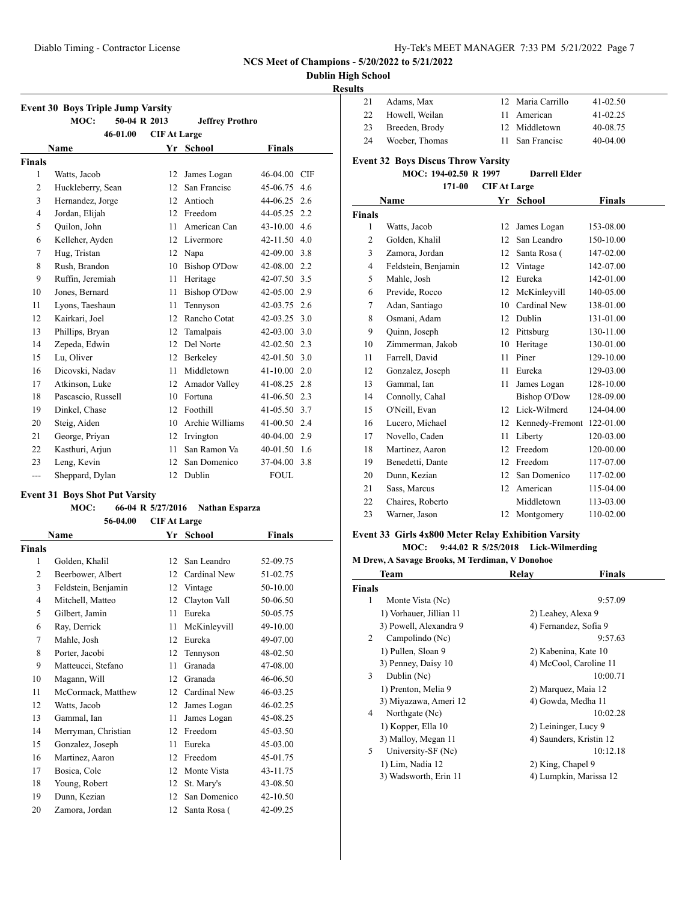### **Dublin High School**

### **Results**

| <b>Event 30 Boys Triple Jump Varsity</b> |                                                                                                                                                                                                                                                                                                                                                                                                                                              |                                                                                                                                                  |                                                                                                                                                                                                                                                                                                                                                              |                                                                                                                                                                                                                                                                                                                                                                                                                                               |  |
|------------------------------------------|----------------------------------------------------------------------------------------------------------------------------------------------------------------------------------------------------------------------------------------------------------------------------------------------------------------------------------------------------------------------------------------------------------------------------------------------|--------------------------------------------------------------------------------------------------------------------------------------------------|--------------------------------------------------------------------------------------------------------------------------------------------------------------------------------------------------------------------------------------------------------------------------------------------------------------------------------------------------------------|-----------------------------------------------------------------------------------------------------------------------------------------------------------------------------------------------------------------------------------------------------------------------------------------------------------------------------------------------------------------------------------------------------------------------------------------------|--|
|                                          |                                                                                                                                                                                                                                                                                                                                                                                                                                              |                                                                                                                                                  |                                                                                                                                                                                                                                                                                                                                                              |                                                                                                                                                                                                                                                                                                                                                                                                                                               |  |
|                                          |                                                                                                                                                                                                                                                                                                                                                                                                                                              |                                                                                                                                                  |                                                                                                                                                                                                                                                                                                                                                              |                                                                                                                                                                                                                                                                                                                                                                                                                                               |  |
|                                          |                                                                                                                                                                                                                                                                                                                                                                                                                                              |                                                                                                                                                  |                                                                                                                                                                                                                                                                                                                                                              |                                                                                                                                                                                                                                                                                                                                                                                                                                               |  |
|                                          |                                                                                                                                                                                                                                                                                                                                                                                                                                              |                                                                                                                                                  |                                                                                                                                                                                                                                                                                                                                                              |                                                                                                                                                                                                                                                                                                                                                                                                                                               |  |
|                                          |                                                                                                                                                                                                                                                                                                                                                                                                                                              |                                                                                                                                                  |                                                                                                                                                                                                                                                                                                                                                              | 4.6                                                                                                                                                                                                                                                                                                                                                                                                                                           |  |
|                                          |                                                                                                                                                                                                                                                                                                                                                                                                                                              |                                                                                                                                                  |                                                                                                                                                                                                                                                                                                                                                              |                                                                                                                                                                                                                                                                                                                                                                                                                                               |  |
|                                          |                                                                                                                                                                                                                                                                                                                                                                                                                                              |                                                                                                                                                  |                                                                                                                                                                                                                                                                                                                                                              |                                                                                                                                                                                                                                                                                                                                                                                                                                               |  |
|                                          |                                                                                                                                                                                                                                                                                                                                                                                                                                              |                                                                                                                                                  |                                                                                                                                                                                                                                                                                                                                                              |                                                                                                                                                                                                                                                                                                                                                                                                                                               |  |
|                                          |                                                                                                                                                                                                                                                                                                                                                                                                                                              |                                                                                                                                                  |                                                                                                                                                                                                                                                                                                                                                              |                                                                                                                                                                                                                                                                                                                                                                                                                                               |  |
|                                          |                                                                                                                                                                                                                                                                                                                                                                                                                                              |                                                                                                                                                  |                                                                                                                                                                                                                                                                                                                                                              |                                                                                                                                                                                                                                                                                                                                                                                                                                               |  |
|                                          |                                                                                                                                                                                                                                                                                                                                                                                                                                              |                                                                                                                                                  |                                                                                                                                                                                                                                                                                                                                                              |                                                                                                                                                                                                                                                                                                                                                                                                                                               |  |
|                                          |                                                                                                                                                                                                                                                                                                                                                                                                                                              |                                                                                                                                                  |                                                                                                                                                                                                                                                                                                                                                              |                                                                                                                                                                                                                                                                                                                                                                                                                                               |  |
|                                          |                                                                                                                                                                                                                                                                                                                                                                                                                                              |                                                                                                                                                  |                                                                                                                                                                                                                                                                                                                                                              |                                                                                                                                                                                                                                                                                                                                                                                                                                               |  |
|                                          |                                                                                                                                                                                                                                                                                                                                                                                                                                              |                                                                                                                                                  |                                                                                                                                                                                                                                                                                                                                                              |                                                                                                                                                                                                                                                                                                                                                                                                                                               |  |
|                                          |                                                                                                                                                                                                                                                                                                                                                                                                                                              |                                                                                                                                                  |                                                                                                                                                                                                                                                                                                                                                              |                                                                                                                                                                                                                                                                                                                                                                                                                                               |  |
|                                          |                                                                                                                                                                                                                                                                                                                                                                                                                                              |                                                                                                                                                  |                                                                                                                                                                                                                                                                                                                                                              |                                                                                                                                                                                                                                                                                                                                                                                                                                               |  |
|                                          |                                                                                                                                                                                                                                                                                                                                                                                                                                              |                                                                                                                                                  |                                                                                                                                                                                                                                                                                                                                                              |                                                                                                                                                                                                                                                                                                                                                                                                                                               |  |
|                                          |                                                                                                                                                                                                                                                                                                                                                                                                                                              |                                                                                                                                                  |                                                                                                                                                                                                                                                                                                                                                              |                                                                                                                                                                                                                                                                                                                                                                                                                                               |  |
|                                          |                                                                                                                                                                                                                                                                                                                                                                                                                                              |                                                                                                                                                  |                                                                                                                                                                                                                                                                                                                                                              |                                                                                                                                                                                                                                                                                                                                                                                                                                               |  |
|                                          |                                                                                                                                                                                                                                                                                                                                                                                                                                              |                                                                                                                                                  |                                                                                                                                                                                                                                                                                                                                                              |                                                                                                                                                                                                                                                                                                                                                                                                                                               |  |
|                                          |                                                                                                                                                                                                                                                                                                                                                                                                                                              |                                                                                                                                                  |                                                                                                                                                                                                                                                                                                                                                              |                                                                                                                                                                                                                                                                                                                                                                                                                                               |  |
|                                          |                                                                                                                                                                                                                                                                                                                                                                                                                                              |                                                                                                                                                  |                                                                                                                                                                                                                                                                                                                                                              |                                                                                                                                                                                                                                                                                                                                                                                                                                               |  |
|                                          |                                                                                                                                                                                                                                                                                                                                                                                                                                              |                                                                                                                                                  |                                                                                                                                                                                                                                                                                                                                                              |                                                                                                                                                                                                                                                                                                                                                                                                                                               |  |
|                                          |                                                                                                                                                                                                                                                                                                                                                                                                                                              |                                                                                                                                                  |                                                                                                                                                                                                                                                                                                                                                              |                                                                                                                                                                                                                                                                                                                                                                                                                                               |  |
|                                          |                                                                                                                                                                                                                                                                                                                                                                                                                                              |                                                                                                                                                  |                                                                                                                                                                                                                                                                                                                                                              |                                                                                                                                                                                                                                                                                                                                                                                                                                               |  |
|                                          |                                                                                                                                                                                                                                                                                                                                                                                                                                              |                                                                                                                                                  |                                                                                                                                                                                                                                                                                                                                                              |                                                                                                                                                                                                                                                                                                                                                                                                                                               |  |
| Leng, Kevin                              | 12                                                                                                                                                                                                                                                                                                                                                                                                                                           | San Domenico                                                                                                                                     |                                                                                                                                                                                                                                                                                                                                                              |                                                                                                                                                                                                                                                                                                                                                                                                                                               |  |
| Sheppard, Dylan                          | 12                                                                                                                                                                                                                                                                                                                                                                                                                                           | Dublin                                                                                                                                           | FOUL.                                                                                                                                                                                                                                                                                                                                                        |                                                                                                                                                                                                                                                                                                                                                                                                                                               |  |
|                                          | MOC:<br>46-01.00<br><b>Name</b><br>Watts, Jacob<br>Huckleberry, Sean<br>Hernandez, Jorge<br>Jordan, Elijah<br>Quilon, John<br>Kelleher, Ayden<br>Hug, Tristan<br>Rush, Brandon<br>Ruffin, Jeremiah<br>Jones, Bernard<br>Lyons, Taeshaun<br>Kairkari, Joel<br>Phillips, Bryan<br>Zepeda, Edwin<br>Lu, Oliver<br>Dicovski, Nadav<br>Atkinson, Luke<br>Pascascio, Russell<br>Dinkel, Chase<br>Steig, Aiden<br>George, Priyan<br>Kasthuri, Arjun | 50-04 R 2013<br>12<br>12<br>12<br>12<br>11<br>12<br>12<br>10<br>11<br>11<br>11<br>12<br>12<br>12<br>12<br>11<br>12<br>10<br>12<br>10<br>12<br>11 | <b>CIF At Large</b><br>Yr School<br>James Logan<br>San Francisc<br>Antioch<br>Freedom<br>American Can<br>Livermore<br>Napa<br><b>Bishop O'Dow</b><br>Heritage<br><b>Bishop O'Dow</b><br>Tennyson<br>Rancho Cotat<br>Tamalpais<br>Del Norte<br>Berkeley<br>Middletown<br>Amador Valley<br>Fortuna<br>Foothill<br>Archie Williams<br>Irvington<br>San Ramon Va | <b>Jeffrey Prothro</b><br><b>Finals</b><br>46-04.00 CIF<br>45-06.75<br>$44-06.25$ 2.6<br>44-05.25 2.2<br>$43-10.00$ 4.6<br>42-11.50 4.0<br>$42-09.00$ 3.8<br>42-08.00 2.2<br>42-07.50 3.5<br>42-05.00 2.9<br>42-03.75 2.6<br>$42 - 03.25$ 3.0<br>42-03.00 3.0<br>$42 - 02.50$ 2.3<br>$42 - 01.50$ 3.0<br>$41-10.00$ 2.0<br>$41-08.25$ 2.8<br>$41-06.50$ 2.3<br>41-05.50 3.7<br>$41-00.50$ 2.4<br>40-04.00 2.9<br>40-01.50 1.6<br>37-04.00 3.8 |  |

### **Event 31 Boys Shot Put Varsity**

# **MOC: 66-04 R 5/27/2016 Nathan Esparza**

|                | 56-04.00            | <b>CIF At Large</b> |              |               |  |
|----------------|---------------------|---------------------|--------------|---------------|--|
|                | Name                |                     | Yr School    | <b>Finals</b> |  |
| Finals         |                     |                     |              |               |  |
| 1              | Golden, Khalil      | 12                  | San Leandro  | 52-09.75      |  |
| $\overline{2}$ | Beerbower, Albert   | 12                  | Cardinal New | 51-02.75      |  |
| 3              | Feldstein, Benjamin | 12                  | Vintage      | 50-10.00      |  |
| $\overline{4}$ | Mitchell, Matteo    | 12                  | Clayton Vall | 50-06.50      |  |
| 5              | Gilbert, Jamin      | 11                  | Eureka       | 50-05.75      |  |
| 6              | Ray, Derrick        | 11                  | McKinleyvill | 49-10.00      |  |
| 7              | Mahle, Josh         | 12                  | Eureka       | 49-07.00      |  |
| 8              | Porter, Jacobi      | 12                  | Tennyson     | 48-02.50      |  |
| 9              | Matteucci, Stefano  | 11                  | Granada      | 47-08.00      |  |
| 10             | Magann, Will        | 12                  | Granada      | 46-06.50      |  |
| 11             | McCormack, Matthew  | 12                  | Cardinal New | 46-03.25      |  |
| 12             | Watts, Jacob        | 12                  | James Logan  | 46-02.25      |  |
| 13             | Gammal, Ian         | 11                  | James Logan  | 45-08.25      |  |
| 14             | Merryman, Christian | 12                  | Freedom      | 45-03.50      |  |
| 15             | Gonzalez, Joseph    | 11                  | Eureka       | 45-03.00      |  |
| 16             | Martinez, Aaron     | 12                  | Freedom      | 45-01.75      |  |
| 17             | Bosica, Cole        | 12                  | Monte Vista  | 43-11.75      |  |
| 18             | Young, Robert       | 12                  | St. Mary's   | 43-08.50      |  |
| 19             | Dunn, Kezian        | 12                  | San Domenico | 42-10.50      |  |
| 20             | Zamora, Jordan      | 12                  | Santa Rosa ( | 42-09.25      |  |

| 21             | Adams, Max                                | 12                  | Maria Carrillo       | 41-02.50      |  |
|----------------|-------------------------------------------|---------------------|----------------------|---------------|--|
| 22             | Howell, Weilan                            | 11                  | American             | 41-02.25      |  |
| 23             | Breeden, Brody                            | 12                  | Middletown           | 40-08.75      |  |
| 24             | Woeber, Thomas                            | 11                  | San Francisc         | 40-04.00      |  |
|                | <b>Event 32 Boys Discus Throw Varsity</b> |                     |                      |               |  |
|                | MOC: 194-02.50 R 1997                     |                     | <b>Darrell Elder</b> |               |  |
|                | 171-00                                    | <b>CIF At Large</b> |                      |               |  |
|                | Name                                      |                     | Yr School            | <b>Finals</b> |  |
| <b>Finals</b>  |                                           |                     |                      |               |  |
| 1              | Watts, Jacob                              | 12                  | James Logan          | 153-08.00     |  |
| 2              | Golden, Khalil                            | 12                  | San Leandro          | 150-10.00     |  |
| 3              | Zamora, Jordan                            | 12                  | Santa Rosa (         | 147-02.00     |  |
| $\overline{4}$ | Feldstein, Benjamin                       | 12                  | Vintage              | 142-07.00     |  |
| 5              | Mahle, Josh                               | 12                  | Eureka               | 142-01.00     |  |
| 6              | Previde, Rocco                            | 12                  | McKinleyvill         | 140-05.00     |  |
| 7              | Adan, Santiago                            | 10                  | Cardinal New         | 138-01.00     |  |
| 8              | Osmani, Adam                              | 12                  | Dublin               | 131-01.00     |  |
| 9              | Quinn, Joseph                             | 12                  | Pittsburg            | 130-11.00     |  |
| 10             | Zimmerman, Jakob                          | 10                  | Heritage             | 130-01.00     |  |
| 11             | Farrell, David                            | 11                  | Piner                | 129-10.00     |  |
| 12             | Gonzalez, Joseph                          | 11                  | Eureka               | 129-03.00     |  |
| 13             | Gammal, Ian                               | 11                  | James Logan          | 128-10.00     |  |
| 14             | Connolly, Cahal                           |                     | <b>Bishop O'Dow</b>  | 128-09.00     |  |
| 15             | O'Neill, Evan                             | 12                  | Lick-Wilmerd         | 124-04.00     |  |
| 16             | Lucero, Michael                           | 12                  | Kennedy-Fremont      | 122-01.00     |  |
| 17             | Novello, Caden                            | 11                  | Liberty              | 120-03.00     |  |
| 18             | Martinez, Aaron                           | 12                  | Freedom              | 120-00.00     |  |
| 19             | Benedetti, Dante                          | 12                  | Freedom              | 117-07.00     |  |
| 20             | Dunn, Kezian                              | 12                  | San Domenico         | 117-02.00     |  |
| 21             | Sass, Marcus                              | 12                  | American             | 115-04.00     |  |
| 22             | Chaires, Roberto                          |                     | Middletown           | 113-03.00     |  |
| 23             | Warner, Jason                             | 12                  | Montgomery           | 110-02.00     |  |
|                |                                           |                     |                      |               |  |

#### **Event 33 Girls 4x800 Meter Relay Exhibition Varsity**

#### **MOC: 9:44.02 R 5/25/2018 Lick-Wilmerding**

### **M Drew, A Savage Brooks, M Terdiman, V Donohoe**

|        | Team                    | Relay              | <b>Finals</b>           |  |
|--------|-------------------------|--------------------|-------------------------|--|
| Finals |                         |                    |                         |  |
| 1      | Monte Vista (Nc)        |                    | 9:57.09                 |  |
|        | 1) Vorhauer, Jillian 11 | 2) Leahey, Alexa 9 |                         |  |
|        | 3) Powell, Alexandra 9  |                    | 4) Fernandez, Sofia 9   |  |
| 2      | Campolindo (Nc)         |                    | 9:57.63                 |  |
|        | 1) Pullen, Sloan 9      |                    | 2) Kabenina, Kate 10    |  |
|        | 3) Penney, Daisy 10     |                    | 4) McCool, Caroline 11  |  |
| 3      | Dublin (Nc)             |                    | 10:00.71                |  |
|        | 1) Prenton, Melia 9     |                    | 2) Marquez, Maia 12     |  |
|        | 3) Miyazawa, Ameri 12   |                    | 4) Gowda, Medha 11      |  |
| 4      | Northgate (Nc)          |                    | 10:02.28                |  |
|        | 1) Kopper, Ella 10      |                    | 2) Leininger, Lucy 9    |  |
|        | 3) Malloy, Megan 11     |                    | 4) Saunders, Kristin 12 |  |
| 5      | University-SF (Nc)      |                    | 10:12.18                |  |
|        | 1) Lim, Nadia 12        | 2) King, Chapel 9  |                         |  |
|        | 3) Wadsworth, Erin 11   |                    | 4) Lumpkin, Marissa 12  |  |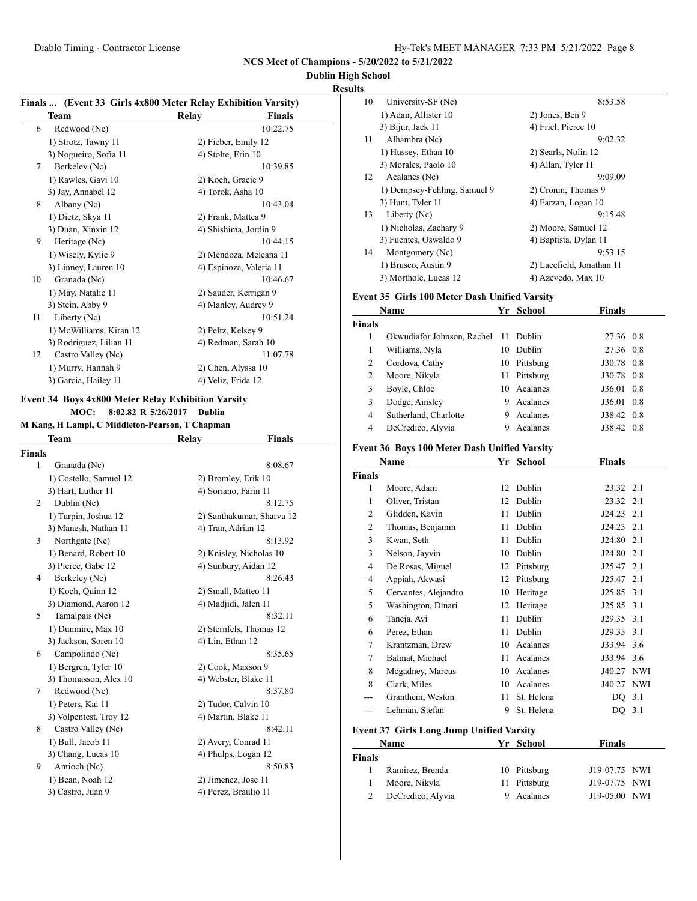### **Dublin High School**

**Results**

|    | Finals  (Event 33 Girls 4x800 Meter Relay Exhibition Varsity)<br>Team | Relay               | <b>Finals</b>           |
|----|-----------------------------------------------------------------------|---------------------|-------------------------|
| 6  | Redwood (Nc)                                                          |                     | 10:22.75                |
|    | 1) Strotz, Tawny 11                                                   | 2) Fieber, Emily 12 |                         |
|    | 3) Nogueiro, Sofia 11                                                 | 4) Stolte, Erin 10  |                         |
| 7  | Berkeley (Nc)                                                         |                     | 10:39.85                |
|    | 1) Rawles, Gavi 10                                                    | 2) Koch, Gracie 9   |                         |
|    | 3) Jay, Annabel 12                                                    | 4) Torok, Asha 10   |                         |
| 8  | Albany (Nc)                                                           |                     | 10:43.04                |
|    | 1) Dietz, Skya 11                                                     | 2) Frank, Mattea 9  |                         |
|    | 3) Duan, Xinxin 12                                                    |                     | 4) Shishima, Jordin 9   |
| 9  | Heritage (Nc)                                                         |                     | 10:44.15                |
|    | 1) Wisely, Kylie 9                                                    |                     | 2) Mendoza, Meleana 11  |
|    | 3) Linney, Lauren 10                                                  |                     | 4) Espinoza, Valeria 11 |
| 10 | Granada (Nc)                                                          |                     | 10:46.67                |
|    | 1) May, Natalie 11                                                    |                     | 2) Sauder, Kerrigan 9   |
|    | 3) Stein, Abby 9                                                      |                     | 4) Manley, Audrey 9     |
| 11 | Liberty (Nc)                                                          |                     | 10:51.24                |
|    | 1) McWilliams, Kiran 12                                               | 2) Peltz, Kelsey 9  |                         |
|    | 3) Rodriguez, Lilian 11                                               |                     | 4) Redman, Sarah 10     |
| 12 | Castro Valley (Nc)                                                    |                     | 11:07.78                |
|    | 1) Murry, Hannah 9                                                    | 2) Chen, Alyssa 10  |                         |
|    | 3) Garcia, Hailey 11                                                  | 4) Veliz, Frida 12  |                         |

# **Event 34 Boys 4x800 Meter Relay Exhibition Varsity**

**MOC: 8:02.82 R 5/26/2017 Dublin M Kang, H Lampi, C Middleton-Pearson, T Ch** 

|  |  |  |  | м капg, н lampi, с мноонетоп-rearson, 1 спартап |  |  |
|--|--|--|--|-------------------------------------------------|--|--|
|--|--|--|--|-------------------------------------------------|--|--|

|        | Team                   | Relay                | Finals                    |
|--------|------------------------|----------------------|---------------------------|
| Finals |                        |                      |                           |
| 1      | Granada (Nc)           |                      | 8:08.67                   |
|        | 1) Costello, Samuel 12 | 2) Bromley, Erik 10  |                           |
|        | 3) Hart, Luther 11     | 4) Soriano, Farin 11 |                           |
| 2      | Dublin (Nc)            |                      | 8:12.75                   |
|        | 1) Turpin, Joshua 12   |                      | 2) Santhakumar, Sharva 12 |
|        | 3) Manesh, Nathan 11   | 4) Tran, Adrian 12   |                           |
| 3      | Northgate (Nc)         |                      | 8:13.92                   |
|        | 1) Benard, Robert 10   |                      | 2) Knisley, Nicholas 10   |
|        | 3) Pierce, Gabe 12     |                      | 4) Sunbury, Aidan 12      |
| 4      | Berkeley (Nc)          |                      | 8:26.43                   |
|        | 1) Koch, Quinn 12      | 2) Small, Matteo 11  |                           |
|        | 3) Diamond, Aaron 12   | 4) Madjidi, Jalen 11 |                           |
| 5      | Tamalpais (Nc)         |                      | 8:32.11                   |
|        | 1) Dunmire, Max 10     |                      | 2) Sternfels, Thomas 12   |
|        | 3) Jackson, Soren 10   | 4) Lin, Ethan 12     |                           |
| 6      | Campolindo (Nc)        |                      | 8:35.65                   |
|        | 1) Bergren, Tyler 10   | 2) Cook, Maxson 9    |                           |
|        | 3) Thomasson, Alex 10  | 4) Webster, Blake 11 |                           |
| 7      | Redwood (Nc)           |                      | 8:37.80                   |
|        | 1) Peters, Kai 11      | 2) Tudor, Calvin 10  |                           |
|        | 3) Volpentest, Troy 12 | 4) Martin, Blake 11  |                           |
| 8      | Castro Valley (Nc)     |                      | 8:42.11                   |
|        | 1) Bull, Jacob 11      | 2) Avery, Conrad 11  |                           |
|        | 3) Chang, Lucas 10     | 4) Phulps, Logan 12  |                           |
| 9      | Antioch (Nc)           |                      | 8:50.83                   |
|        | 1) Bean, Noah 12       | 2) Jimenez, Jose 11  |                           |
|        | 3) Castro, Juan 9      | 4) Perez, Braulio 11 |                           |
|        |                        |                      |                           |

| ◡  |                              |                           |
|----|------------------------------|---------------------------|
| 10 | University-SF (Nc)           | 8:53.58                   |
|    | 1) Adair, Allister 10        | 2) Jones, Ben 9           |
|    | 3) Bijur, Jack 11            | 4) Friel, Pierce 10       |
| 11 | Alhambra (Nc)                | 9:02.32                   |
|    | 1) Hussey, Ethan 10          | 2) Searls, Nolin 12       |
|    | 3) Morales, Paolo 10         | 4) Allan, Tyler 11        |
| 12 | Acalanes (Nc)                | 9:09.09                   |
|    | 1) Dempsey-Fehling, Samuel 9 | 2) Cronin, Thomas 9       |
|    | 3) Hunt, Tyler 11            | 4) Farzan, Logan 10       |
| 13 | Liberty (Nc)                 | 9:15.48                   |
|    | 1) Nicholas, Zachary 9       | 2) Moore, Samuel 12       |
|    | 3) Fuentes, Oswaldo 9        | 4) Baptista, Dylan 11     |
| 14 | Montgomery (Nc)              | 9:53.15                   |
|    | 1) Brusco, Austin 9          | 2) Lacefield, Jonathan 11 |
|    | 3) Morthole, Lucas 12        | 4) Azevedo, Max 10        |
|    |                              |                           |

### **Event 35 Girls 100 Meter Dash Unified Varsity**

|               | Name                       |    | Yr School   | <b>Finals</b>      |
|---------------|----------------------------|----|-------------|--------------------|
| <b>Finals</b> |                            |    |             |                    |
| 1             | Okwudiafor Johnson, Rachel |    | 11 Dublin   | 27.36 0.8          |
| 1             | Williams, Nyla             | 10 | Dublin      | 27.36 0.8          |
| 2             | Cordova, Cathy             | 10 | Pittsburg   | J30.78 0.8         |
| 2             | Moore, Nikyla              | 11 | Pittsburg   | J30.78 0.8         |
| 3             | Boyle, Chloe               |    | 10 Acalanes | $J36.01 \quad 0.8$ |
| 3             | Dodge, Ainsley             | 9  | Acalanes    | $J36.01 \quad 0.8$ |
| 4             | Sutherland, Charlotte      | 9  | Acalanes    | J38.42 0.8         |
| 4             | DeCredico, Alyvia          | 9  | Acalanes    | J38.42 0.8         |

### **Event 36 Boys 100 Meter Dash Unified Varsity**

|                | Name                                            | Yr | <b>School</b> | Finals     |            |
|----------------|-------------------------------------------------|----|---------------|------------|------------|
| Finals         |                                                 |    |               |            |            |
| 1              | Moore, Adam                                     | 12 | Dublin        | 23.32 2.1  |            |
| 1              | Oliver, Tristan                                 | 12 | Dublin        | 23.32 2.1  |            |
| $\overline{c}$ | Glidden, Kavin                                  | 11 | Dublin        | J24.23     | 2.1        |
| $\overline{2}$ | Thomas, Benjamin                                | 11 | Dublin        | J24.23 2.1 |            |
| 3              | Kwan, Seth                                      | 11 | Dublin        | J24.80     | 2.1        |
| 3              | Nelson, Jayvin                                  | 10 | Dublin        | J24.80 2.1 |            |
| $\overline{4}$ | De Rosas, Miguel                                | 12 | Pittsburg     | J25.47 2.1 |            |
| $\overline{4}$ | Appiah, Akwasi                                  | 12 | Pittsburg     | J25.47     | 2.1        |
| 5              | Cervantes, Alejandro                            | 10 | Heritage      | J25.85     | 3.1        |
| 5              | Washington, Dinari                              | 12 | Heritage      | J25.85     | 3.1        |
| 6              | Taneja, Avi                                     | 11 | Dublin        | J29.35     | 3.1        |
| 6              | Perez, Ethan                                    | 11 | Dublin        | J29.35 3.1 |            |
| 7              | Krantzman, Drew                                 | 10 | Acalanes      | J33.94 3.6 |            |
| 7              | Balmat, Michael                                 | 11 | Acalanes      | J33.94 3.6 |            |
| 8              | Mcgadney, Marcus                                | 10 | Acalanes      | J40.27 NWI |            |
| 8              | Clark, Miles                                    | 10 | Acalanes      | J40.27     | <b>NWI</b> |
|                | Granthem, Weston                                | 11 | St. Helena    | DQ 3.1     |            |
| ---            | Lehman, Stefan                                  | 9  | St. Helena    | DQ         | 3.1        |
|                | <b>Event 37 Girls Long Jump Unified Varsity</b> |    |               |            |            |
|                | Name                                            |    | Vr School     | Finale     |            |

|               | гуаше             | тг эсноог    | г шагу        |  |
|---------------|-------------------|--------------|---------------|--|
| <b>Finals</b> |                   |              |               |  |
|               | Ramirez, Brenda   | 10 Pittsburg | J19-07.75 NWI |  |
| 1             | Moore, Nikyla     | 11 Pittsburg | J19-07.75 NWI |  |
| 2             | DeCredico, Alyvia | 9 Acalanes   | J19-05.00 NWI |  |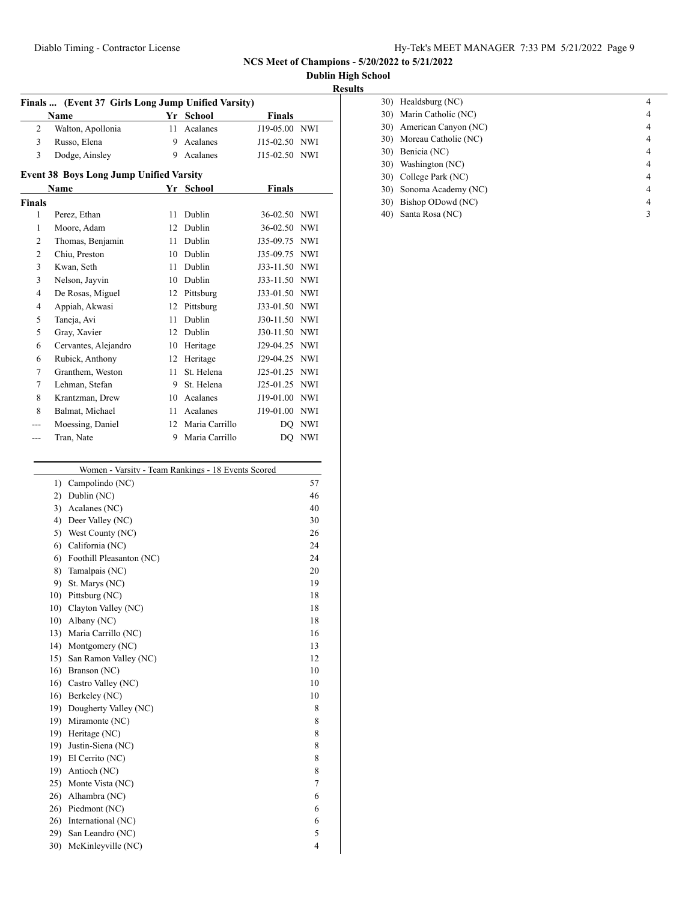#### Diablo Timing - Contractor License Hy-Tek's MEET MANAGER 7:33 PM 5/21/2022 Page 9

**NCS Meet of Champions - 5/20/2022 to 5/21/2022**

**Dublin High School**

#### **Results**

| Finals  (Event 37 Girls Long Jump Unified Varsity) |                   |    |           |               |  |  |  |
|----------------------------------------------------|-------------------|----|-----------|---------------|--|--|--|
|                                                    | <b>Name</b>       |    | Yr School | <b>Finals</b> |  |  |  |
| 2                                                  | Walton, Apollonia | 11 | Acalanes  | J19-05.00 NWI |  |  |  |
| 3                                                  | Russo, Elena      | 9  | Acalanes  | J15-02.50 NWI |  |  |  |
| 3                                                  | Dodge, Ainsley    | 9  | Acalanes  | J15-02.50 NWI |  |  |  |
| <b>Event 38 Boys Long Jump Unified Varsity</b>     |                   |    |           |               |  |  |  |
|                                                    | <b>Name</b>       |    | Yr School | <b>Finals</b> |  |  |  |
| <b>Finals</b>                                      |                   |    |           |               |  |  |  |
| 1                                                  | Perez, Ethan      | 11 | Dublin    | 36-02.50 NWI  |  |  |  |
| 1                                                  | Moore, Adam       | 12 | Dublin    | 36-02.50 NWI  |  |  |  |
| 2                                                  | Thomas, Benjamin  | 11 | Dublin    | J35-09.75 NWI |  |  |  |
| 2                                                  | Chiu, Preston     | 10 | Dublin    | J35-09.75 NWI |  |  |  |
| 3                                                  | Kwan, Seth        | 11 | Dublin    | J33-11.50 NWI |  |  |  |
| 3                                                  | Nelson, Jayvin    | 10 | Dublin    | J33-11.50 NWI |  |  |  |

 De Rosas, Miguel 12 Pittsburg J33-01.50 NWI Appiah, Akwasi 12 Pittsburg J33-01.50 NWI Taneja, Avi 11 Dublin J30-11.50 NWI Gray, Xavier 12 Dublin J30-11.50 NWI Cervantes, Alejandro 10 Heritage J29-04.25 NWI Rubick, Anthony 12 Heritage J29-04.25 NWI Granthem, Weston 11 St. Helena J25-01.25 NWI Lehman, Stefan 9 St. Helena J25-01.25 NWI Krantzman, Drew 10 Acalanes J19-01.00 NWI Balmat, Michael 11 Acalanes J19-01.00 NWI --- Moessing, Daniel 12 Maria Carrillo DQ NWI --- Tran, Nate 9 Maria Carrillo DQ NWI

|     | 30) Healdsburg (NC)      |   |
|-----|--------------------------|---|
|     | 30) Marin Catholic (NC)  |   |
|     | 30) American Canyon (NC) | 4 |
|     | 30) Moreau Catholic (NC) |   |
| 30) | Benicia (NC)             |   |
|     | 30) Washington (NC)      | 4 |
|     | 30) College Park (NC)    |   |
| 30) | Sonoma Academy (NC)      | 4 |
| 30) | Bishop ODowd (NC)        |   |
| 40) | Santa Rosa (NC)          |   |

|     | Women - Varsity - Team Rankings - 18 Events Scored |    |
|-----|----------------------------------------------------|----|
| 1)  | Campolindo (NC)                                    | 57 |
| 2)  | Dublin (NC)                                        | 46 |
| 3)  | Acalanes (NC)                                      | 40 |
| 4)  | Deer Valley (NC)                                   | 30 |
| 5)  | West County (NC)                                   | 26 |
| 6)  | California (NC)                                    | 24 |
| 6)  | Foothill Pleasanton (NC)                           | 24 |
| 8)  | Tamalpais (NC)                                     | 20 |
| 9)  | St. Marys (NC)                                     | 19 |
| 10) | Pittsburg (NC)                                     | 18 |
| 10) | Clayton Valley (NC)                                | 18 |
| 10) | Albany (NC)                                        | 18 |
| 13) | Maria Carrillo (NC)                                | 16 |
| 14) | Montgomery (NC)                                    | 13 |
| 15) | San Ramon Valley (NC)                              | 12 |
| 16) | Branson (NC)                                       | 10 |
| 16) | Castro Valley (NC)                                 | 10 |
| 16) | Berkeley (NC)                                      | 10 |
| 19) | Dougherty Valley (NC)                              | 8  |
| 19) | Miramonte (NC)                                     | 8  |
| 19) | Heritage (NC)                                      | 8  |
| 19) | Justin-Siena (NC)                                  | 8  |
| 19) | El Cerrito (NC)                                    | 8  |
| 19) | Antioch (NC)                                       | 8  |
| 25) | Monte Vista (NC)                                   | 7  |
| 26) | Alhambra (NC)                                      | 6  |
| 26) | Piedmont (NC)                                      | 6  |
| 26) | International (NC)                                 | 6  |
| 29) | San Leandro (NC)                                   | 5  |
| 30) | McKinleyville (NC)                                 | 4  |